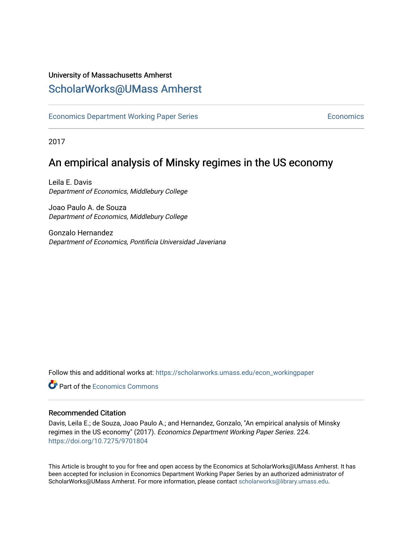## University of Massachusetts Amherst [ScholarWorks@UMass Amherst](https://scholarworks.umass.edu/)

[Economics Department Working Paper Series](https://scholarworks.umass.edu/econ_workingpaper) **Economics** [Economics](https://scholarworks.umass.edu/economics) Economics

2017

## An empirical analysis of Minsky regimes in the US economy

Leila E. Davis Department of Economics, Middlebury College

Joao Paulo A. de Souza Department of Economics, Middlebury College

Gonzalo Hernandez Department of Economics, Pontificia Universidad Javeriana

Follow this and additional works at: [https://scholarworks.umass.edu/econ\\_workingpaper](https://scholarworks.umass.edu/econ_workingpaper?utm_source=scholarworks.umass.edu%2Fecon_workingpaper%2F224&utm_medium=PDF&utm_campaign=PDFCoverPages) 

**C** Part of the [Economics Commons](http://network.bepress.com/hgg/discipline/340?utm_source=scholarworks.umass.edu%2Fecon_workingpaper%2F224&utm_medium=PDF&utm_campaign=PDFCoverPages)

#### Recommended Citation

Davis, Leila E.; de Souza, Joao Paulo A.; and Hernandez, Gonzalo, "An empirical analysis of Minsky regimes in the US economy" (2017). Economics Department Working Paper Series. 224. <https://doi.org/10.7275/9701804>

This Article is brought to you for free and open access by the Economics at ScholarWorks@UMass Amherst. It has been accepted for inclusion in Economics Department Working Paper Series by an authorized administrator of ScholarWorks@UMass Amherst. For more information, please contact [scholarworks@library.umass.edu.](mailto:scholarworks@library.umass.edu)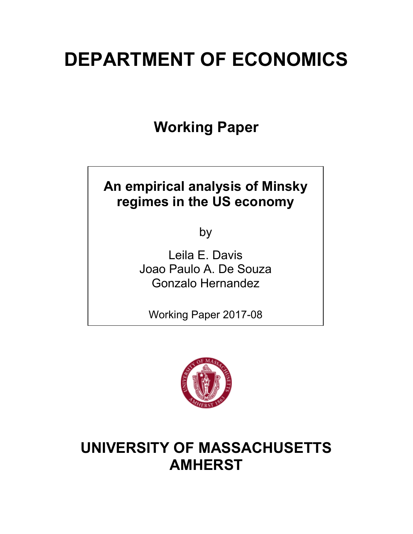# **DEPARTMENT OF ECONOMICS**

**Working Paper**

## **An empirical analysis of Minsky regimes in the US economy**

by

Leila E. Davis Joao Paulo A. De Souza Gonzalo Hernandez

Working Paper 2017-08



## **UNIVERSITY OF MASSACHUSETTS AMHERST**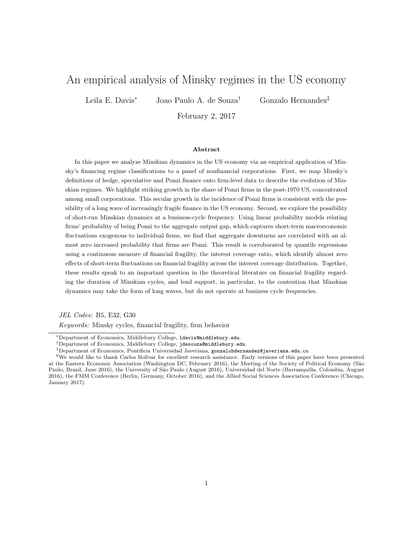## An empirical analysis of Minsky regimes in the US economy

Leila E. Davis<sup>\*</sup> Joao Paulo A. de Souza<sup>†</sup> Gonzalo Hernandez<sup>‡</sup>

February 2, 2017

#### Abstract

In this paper we analyze Minskian dynamics in the US economy via an empirical application of Minsky's financing regime classifications to a panel of nonfinancial corporations. First, we map Minsky's definitions of hedge, speculative and Ponzi finance onto firm-level data to describe the evolution of Minskian regimes. We highlight striking growth in the share of Ponzi firms in the post-1970 US, concentrated among small corporations. This secular growth in the incidence of Ponzi firms is consistent with the possibility of a long wave of increasingly fragile finance in the US economy. Second, we explore the possibility of short-run Minskian dynamics at a business-cycle frequency. Using linear probability models relating firms' probability of being Ponzi to the aggregate output gap, which captures short-term macroeconomic fluctuations exogenous to individual firms, we find that aggregate downturns are correlated with an almost zero increased probability that firms are Ponzi. This result is corroborated by quantile regressions using a continuous measure of financial fragility, the interest coverage ratio, which identify almost zero effects of short-term fluctuations on financial fragility across the interest coverage distribution. Together, these results speak to an important question in the theoretical literature on financial fragility regarding the duration of Minskian cycles, and lend support, in particular, to the contention that Minskian dynamics may take the form of long waves, but do not operate at business cycle frequencies.

*JEL Codes:* B5, E32, G30

*Keywords:* Minsky cycles, financial fragility, firm behavior

<sup>⇤</sup>Department of Economics, Middlebury College, ldavis@middlebury.edu.

*<sup>†</sup>*Department of Economics, Middlebury College, jdesouza@middlebury.edu.

*<sup>‡</sup>*Department of Economics, Pontificia Universidad Javeriana, gonzalohdernandez@javeriana.edu.co.

 $0$ We would like to thank Carlos Bolivar for excellent research assistance. Early versions of this paper have been presented at the Eastern Economic Association (Washington DC, February 2016), the Meeting of the Society of Political Economy (São Paulo, Brazil, June 2016), the University of São Paulo (August 2016), Universidad del Norte (Barranquilla, Colombia, August 2016), the FMM Conference (Berlin, Germany, October 2016), and the Allied Social Sciences Association Conference (Chicago, January 2017).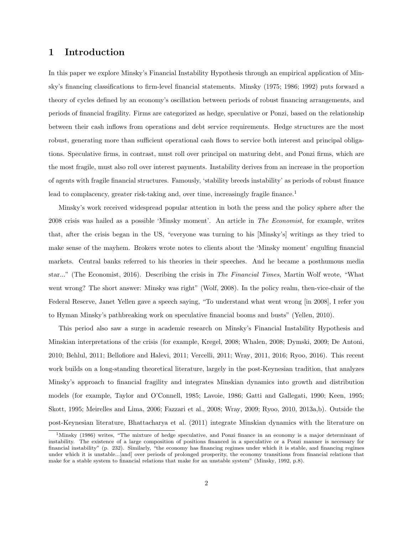#### 1 Introduction

In this paper we explore Minsky's Financial Instability Hypothesis through an empirical application of Minsky's financing classifications to firm-level financial statements. Minsky (1975; 1986; 1992) puts forward a theory of cycles defined by an economy's oscillation between periods of robust financing arrangements, and periods of financial fragility. Firms are categorized as hedge, speculative or Ponzi, based on the relationship between their cash inflows from operations and debt service requirements. Hedge structures are the most robust, generating more than sufficient operational cash flows to service both interest and principal obligations. Speculative firms, in contrast, must roll over principal on maturing debt, and Ponzi firms, which are the most fragile, must also roll over interest payments. Instability derives from an increase in the proportion of agents with fragile financial structures. Famously, 'stability breeds instability' as periods of robust finance lead to complacency, greater risk-taking and, over time, increasingly fragile finance.<sup>1</sup>

Minsky's work received widespread popular attention in both the press and the policy sphere after the 2008 crisis was hailed as a possible 'Minsky moment'. An article in *The Economist*, for example, writes that, after the crisis began in the US, "everyone was turning to his [Minsky's] writings as they tried to make sense of the mayhem. Brokers wrote notes to clients about the 'Minsky moment' engulfing financial markets. Central banks referred to his theories in their speeches. And he became a posthumous media star..." (The Economist, 2016). Describing the crisis in *The Financial Times*, Martin Wolf wrote, "What went wrong? The short answer: Minsky was right" (Wolf, 2008). In the policy realm, then-vice-chair of the Federal Reserve, Janet Yellen gave a speech saying, "To understand what went wrong [in 2008], I refer you to Hyman Minsky's pathbreaking work on speculative financial booms and busts" (Yellen, 2010).

This period also saw a surge in academic research on Minsky's Financial Instability Hypothesis and Minskian interpretations of the crisis (for example, Kregel, 2008; Whalen, 2008; Dymski, 2009; De Antoni, 2010; Behlul, 2011; Bellofiore and Halevi, 2011; Vercelli, 2011; Wray, 2011, 2016; Ryoo, 2016). This recent work builds on a long-standing theoretical literature, largely in the post-Keynesian tradition, that analyzes Minsky's approach to financial fragility and integrates Minskian dynamics into growth and distribution models (for example, Taylor and O'Connell, 1985; Lavoie, 1986; Gatti and Gallegati, 1990; Keen, 1995; Skott, 1995; Meirelles and Lima, 2006; Fazzari et al., 2008; Wray, 2009; Ryoo, 2010, 2013a,b). Outside the post-Keynesian literature, Bhattacharya et al. (2011) integrate Minskian dynamics with the literature on

<sup>1</sup>Minsky (1986) writes, "The mixture of hedge speculative, and Ponzi finance in an economy is a major determinant of instability. The existence of a large composition of positions financed in a speculative or a Ponzi manner is necessary for financial instability" (p. 232). Similarly, "the economy has financing regimes under which it is stable, and financing regimes under which it is unstable...[and] over periods of prolonged prosperity, the economy transitions from financial relations that make for a stable system to financial relations that make for an unstable system" (Minsky, 1992, p.8).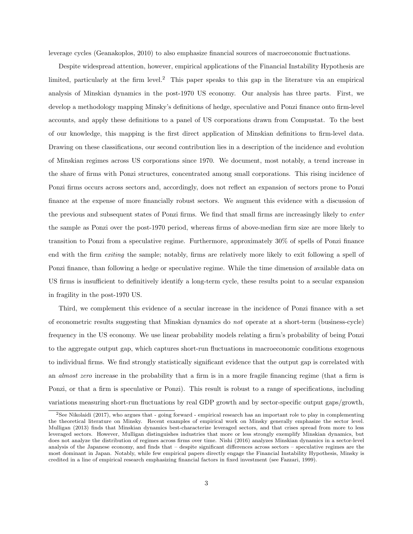leverage cycles (Geanakoplos, 2010) to also emphasize financial sources of macroeconomic fluctuations.

Despite widespread attention, however, empirical applications of the Financial Instability Hypothesis are limited, particularly at the firm level.<sup>2</sup> This paper speaks to this gap in the literature via an empirical analysis of Minskian dynamics in the post-1970 US economy. Our analysis has three parts. First, we develop a methodology mapping Minsky's definitions of hedge, speculative and Ponzi finance onto firm-level accounts, and apply these definitions to a panel of US corporations drawn from Compustat. To the best of our knowledge, this mapping is the first direct application of Minskian definitions to firm-level data. Drawing on these classifications, our second contribution lies in a description of the incidence and evolution of Minskian regimes across US corporations since 1970. We document, most notably, a trend increase in the share of firms with Ponzi structures, concentrated among small corporations. This rising incidence of Ponzi firms occurs across sectors and, accordingly, does not reflect an expansion of sectors prone to Ponzi finance at the expense of more financially robust sectors. We augment this evidence with a discussion of the previous and subsequent states of Ponzi firms. We find that small firms are increasingly likely to *enter* the sample as Ponzi over the post-1970 period, whereas firms of above-median firm size are more likely to transition to Ponzi from a speculative regime. Furthermore, approximately 30% of spells of Ponzi finance end with the firm *exiting* the sample; notably, firms are relatively more likely to exit following a spell of Ponzi finance, than following a hedge or speculative regime. While the time dimension of available data on US firms is insufficient to definitively identify a long-term cycle, these results point to a secular expansion in fragility in the post-1970 US.

Third, we complement this evidence of a secular increase in the incidence of Ponzi finance with a set of econometric results suggesting that Minskian dynamics do *not* operate at a short-term (business-cycle) frequency in the US economy. We use linear probability models relating a firm's probability of being Ponzi to the aggregate output gap, which captures short-run fluctuations in macroeconomic conditions exogenous to individual firms. We find strongly statistically significant evidence that the output gap is correlated with an *almost zero* increase in the probability that a firm is in a more fragile financing regime (that a firm is Ponzi, or that a firm is speculative or Ponzi). This result is robust to a range of specifications, including variations measuring short-run fluctuations by real GDP growth and by sector-specific output gaps/growth,

<sup>2</sup>See Nikolaidi (2017), who argues that - going forward - empirical research has an important role to play in complementing the theoretical literature on Minsky. Recent examples of empirical work on Minsky generally emphasize the sector level. Mulligan (2013) finds that Minskian dynamics best-characterize leveraged sectors, and that crises spread from more to less leveraged sectors. However, Mulligan distinguishes industries that more or less strongly exemplify Minskian dynamics, but does not analyze the distribution of regimes across firms over time. Nishi (2016) analyzes Minskian dynamics in a sector-level analysis of the Japanese economy, and finds that  $-$  despite significant differences across sectors  $-$  speculative regimes are the most dominant in Japan. Notably, while few empirical papers directly engage the Financial Instability Hypothesis, Minsky is credited in a line of empirical research emphasizing financial factors in fixed investment (see Fazzari, 1999).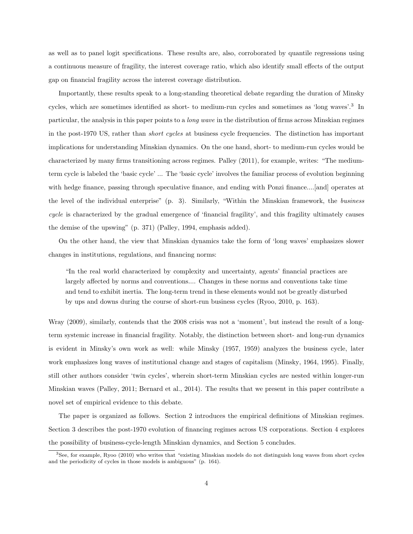as well as to panel logit specifications. These results are, also, corroborated by quantile regressions using a continuous measure of fragility, the interest coverage ratio, which also identify small effects of the output gap on financial fragility across the interest coverage distribution.

Importantly, these results speak to a long-standing theoretical debate regarding the duration of Minsky cycles, which are sometimes identified as short- to medium-run cycles and sometimes as 'long waves'.<sup>3</sup> In particular, the analysis in this paper points to a *long wave* in the distribution of firms across Minskian regimes in the post-1970 US, rather than *short cycles* at business cycle frequencies. The distinction has important implications for understanding Minskian dynamics. On the one hand, short- to medium-run cycles would be characterized by many firms transitioning across regimes. Palley (2011), for example, writes: "The mediumterm cycle is labeled the 'basic cycle' ... The 'basic cycle' involves the familiar process of evolution beginning with hedge finance, passing through speculative finance, and ending with Ponzi finance....[and] operates at the level of the individual enterprise" (p. 3). Similarly, "Within the Minskian framework, the *business cycle* is characterized by the gradual emergence of 'financial fragility', and this fragility ultimately causes the demise of the upswing" (p. 371) (Palley, 1994, emphasis added).

On the other hand, the view that Minskian dynamics take the form of 'long waves' emphasizes slower changes in institutions, regulations, and financing norms:

"In the real world characterized by complexity and uncertainty, agents' financial practices are largely affected by norms and conventions.... Changes in these norms and conventions take time and tend to exhibit inertia. The long-term trend in these elements would not be greatly disturbed by ups and downs during the course of short-run business cycles (Ryoo, 2010, p. 163).

Wray (2009), similarly, contends that the 2008 crisis was not a 'moment', but instead the result of a longterm systemic increase in financial fragility. Notably, the distinction between short- and long-run dynamics is evident in Minsky's own work as well: while Minsky (1957, 1959) analyzes the business cycle, later work emphasizes long waves of institutional change and stages of capitalism (Minsky, 1964, 1995). Finally, still other authors consider 'twin cycles', wherein short-term Minskian cycles are nested within longer-run Minskian waves (Palley, 2011; Bernard et al., 2014). The results that we present in this paper contribute a novel set of empirical evidence to this debate.

The paper is organized as follows. Section 2 introduces the empirical definitions of Minskian regimes. Section 3 describes the post-1970 evolution of financing regimes across US corporations. Section 4 explores the possibility of business-cycle-length Minskian dynamics, and Section 5 concludes.

<sup>3</sup>See, for example, Ryoo (2010) who writes that "existing Minskian models do not distinguish long waves from short cycles and the periodicity of cycles in those models is ambiguous" (p. 164).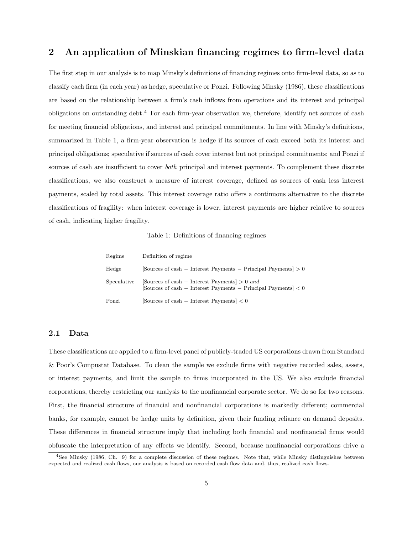#### 2 An application of Minskian financing regimes to firm-level data

The first step in our analysis is to map Minsky's definitions of financing regimes onto firm-level data, so as to classify each firm (in each year) as hedge, speculative or Ponzi. Following Minsky (1986), these classifications are based on the relationship between a firm's cash inflows from operations and its interest and principal obligations on outstanding debt.<sup>4</sup> For each firm-year observation we, therefore, identify net sources of cash for meeting financial obligations, and interest and principal commitments. In line with Minsky's definitions, summarized in Table 1, a firm-year observation is hedge if its sources of cash exceed both its interest and principal obligations; speculative if sources of cash cover interest but not principal commitments; and Ponzi if sources of cash are insufficient to cover *both* principal and interest payments. To complement these discrete classifications, we also construct a measure of interest coverage, defined as sources of cash less interest payments, scaled by total assets. This interest coverage ratio offers a continuous alternative to the discrete classifications of fragility: when interest coverage is lower, interest payments are higher relative to sources of cash, indicating higher fragility.

Table 1: Definitions of financing regimes

| Regime      | Definition of regime.                                                                                               |
|-------------|---------------------------------------------------------------------------------------------------------------------|
| Hedge       | $ Sources of cash - Interest Payments - Principal Payments > 0$                                                     |
| Speculative | [Sources of cash – Interest Payments] $> 0$ and<br>[Sources of cash – Interest Payments – Principal Payments] $< 0$ |
| Ponzi       | Sources of cash $-$ Interest Payments $ $ < 0                                                                       |

#### 2.1 Data

These classifications are applied to a firm-level panel of publicly-traded US corporations drawn from Standard & Poor's Compustat Database. To clean the sample we exclude firms with negative recorded sales, assets, or interest payments, and limit the sample to firms incorporated in the US. We also exclude financial corporations, thereby restricting our analysis to the nonfinancial corporate sector. We do so for two reasons. First, the financial structure of financial and nonfinancial corporations is markedly different; commercial banks, for example, cannot be hedge units by definition, given their funding reliance on demand deposits. These differences in financial structure imply that including both financial and nonfinancial firms would obfuscate the interpretation of any e↵ects we identify. Second, because nonfinancial corporations drive a

<sup>4</sup>See Minsky (1986, Ch. 9) for a complete discussion of these regimes. Note that, while Minsky distinguishes between expected and realized cash flows, our analysis is based on recorded cash flow data and, thus, realized cash flows.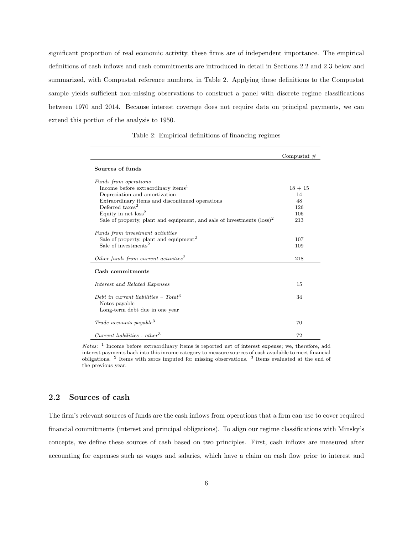significant proportion of real economic activity, these firms are of independent importance. The empirical definitions of cash inflows and cash commitments are introduced in detail in Sections 2.2 and 2.3 below and summarized, with Compustat reference numbers, in Table 2. Applying these definitions to the Compustat sample yields sufficient non-missing observations to construct a panel with discrete regime classifications between 1970 and 2014. Because interest coverage does not require data on principal payments, we can extend this portion of the analysis to 1950.

|                                                                                  | Compustat $#$ |
|----------------------------------------------------------------------------------|---------------|
| Sources of funds                                                                 |               |
| Funds from operations                                                            |               |
| Income before extraordinary items <sup>1</sup>                                   | $18 + 15$     |
| Depreciation and amortization                                                    | 14            |
| Extraordinary items and discontinued operations                                  | 48            |
| Deferred $\text{taxes}^2$                                                        | 126           |
| Equity in net $loss2$                                                            | 106           |
| Sale of property, plant and equipment, and sale of investments $(\text{loss})^2$ | 213           |
|                                                                                  |               |
| Funds from investment activities                                                 |               |
| Sale of property, plant and equipment <sup>2</sup>                               | 107           |
| Sale of investments <sup>2</sup>                                                 | 109           |
| Other funds from current activities <sup>2</sup>                                 | 218           |
| Cash commitments                                                                 |               |
| Interest and Related Expenses                                                    | 15            |
| Debt in current liabilities - Total <sup>3</sup>                                 | 34            |
| Notes payable<br>Long-term debt due in one year                                  |               |
| Trade accounts payable <sup>3</sup>                                              | 70            |
| $Current~liabilities - other^3$                                                  | 72            |

Table 2: Empirical definitions of financing regimes

*Notes:* <sup>1</sup> Income before extraordinary items is reported net of interest expense; we, therefore, add interest payments back into this income category to measure sources of cash available to meet financial obligations. <sup>2</sup> Items with zeros imputed for missing observations. <sup>3</sup> Items evaluated at the end of the previous year.

#### 2.2 Sources of cash

The firm's relevant sources of funds are the cash inflows from operations that a firm can use to cover required financial commitments (interest and principal obligations). To align our regime classifications with Minsky's concepts, we define these sources of cash based on two principles. First, cash inflows are measured after accounting for expenses such as wages and salaries, which have a claim on cash flow prior to interest and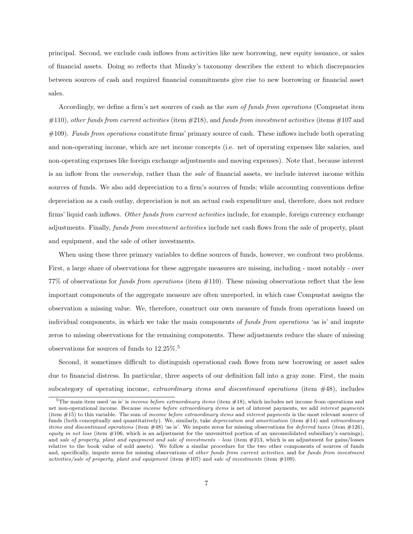principal. Second, we exclude cash inflows from activities like new borrowing, new equity issuance, or sales of financial assets. Doing so reflects that Minsky's taxonomy describes the extent to which discrepancies between sources of cash and required financial commitments give rise to new borrowing or financial asset sales.

Accordingly, we define a firm's net sources of cash as the *sum of funds from operations* (Compustat item #110), *other funds from current activities* (item #218), and *funds from investment activities* (items #107 and #109). *Funds from operations* constitute firms' primary source of cash. These inflows include both operating and non-operating income, which are net income concepts (i.e. net of operating expenses like salaries, and non-operating expenses like foreign exchange adjustments and moving expenses). Note that, because interest is an inflow from the *ownership*, rather than the *sale* of financial assets, we include interest income within sources of funds. We also add depreciation to a firm's sources of funds; while accounting conventions define depreciation as a cash outlay, depreciation is not an actual cash expenditure and, therefore, does not reduce firms' liquid cash inflows. *Other funds from current activities* include, for example, foreign currency exchange adjustments. Finally, *funds from investment activities* include net cash flows from the sale of property, plant and equipment, and the sale of other investments.

When using these three primary variables to define sources of funds, however, we confront two problems. First, a large share of observations for these aggregate measures are missing, including - most notably - over 77% of observations for *funds from operations* (item #110). These missing observations reflect that the less important components of the aggregate measure are often unreported, in which case Compustat assigns the observation a missing value. We, therefore, construct our own measure of funds from operations based on individual components, in which we take the main components of *funds from operations* 'as is' and impute zeros to missing observations for the remaining components. These adjustments reduce the share of missing observations for sources of funds to 12.25%.<sup>5</sup>

Second, it sometimes difficult to distinguish operational cash flows from new borrowing or asset sales due to financial distress. In particular, three aspects of our definition fall into a gray zone. First, the main subcategory of operating income, *extraordinary items and discontinued operations* (item #48), includes

<sup>5</sup>The main item used 'as is' is *income before extraordinary items* (item #18), which includes net income from operations and net non-operational income. Because *income before extraordinary items* is net of interest payments, we add *interest payments* (item #15) to this variable. The sum of *income before extraordinary items* and *interest payments* is the most relevant source of funds (both conceptually and quantitatively). We, similarly, take *depreciation and amortization* (item #14) and *extraordinary items and discontinued operations* (item #48) 'as is'. We impute zeros for missing observations for *deferred taxes* (item #126), *equity in net loss* (item #106, which is an adjustment for the unremitted portion of an unconsolidated subsidiary's earnings), and *sale of property, plant and equipment and sale of investments – loss* (item #213, which is an adjustment for gains/losses relative to the book value of sold assets). We follow a similar procedure for the two other components of sources of funds and, specifically, impute zeros for missing observations of *other funds from current activities*, and for *funds from investment activities/sale of property, plant and equipment* (item #107) and *sale of investments* (item #109).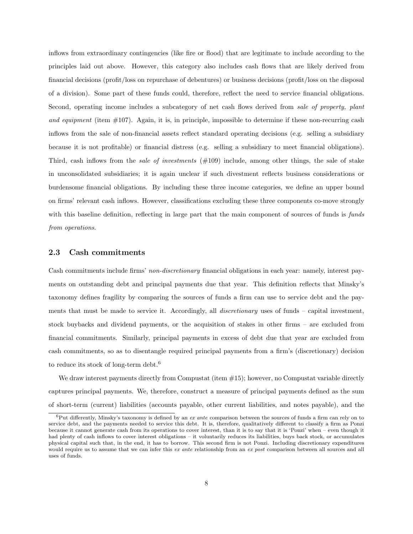inflows from extraordinary contingencies (like fire or flood) that are legitimate to include according to the principles laid out above. However, this category also includes cash flows that are likely derived from financial decisions (profit/loss on repurchase of debentures) or business decisions (profit/loss on the disposal of a division). Some part of these funds could, therefore, reflect the need to service financial obligations. Second, operating income includes a subcategory of net cash flows derived from *sale of property, plant and equipment* (item #107). Again, it is, in principle, impossible to determine if these non-recurring cash inflows from the sale of non-financial assets reflect standard operating decisions (e.g. selling a subsidiary because it is not profitable) or financial distress (e.g. selling a subsidiary to meet financial obligations). Third, cash inflows from the *sale of investments* (#109) include, among other things, the sale of stake in unconsolidated subsidiaries; it is again unclear if such divestment reflects business considerations or burdensome financial obligations. By including these three income categories, we define an upper bound on firms' relevant cash inflows. However, classifications excluding these three components co-move strongly with this baseline definition, reflecting in large part that the main component of sources of funds is *funds from operations*.

#### 2.3 Cash commitments

Cash commitments include firms' *non-discretionary* financial obligations in each year: namely, interest payments on outstanding debt and principal payments due that year. This definition reflects that Minsky's taxonomy defines fragility by comparing the sources of funds a firm can use to service debt and the payments that must be made to service it. Accordingly, all *discretionary* uses of funds – capital investment, stock buybacks and dividend payments, or the acquisition of stakes in other firms – are excluded from financial commitments. Similarly, principal payments in excess of debt due that year are excluded from cash commitments, so as to disentangle required principal payments from a firm's (discretionary) decision to reduce its stock of long-term debt.<sup>6</sup>

We draw interest payments directly from Compustat (item  $\#15$ ); however, no Compustat variable directly captures principal payments. We, therefore, construct a measure of principal payments defined as the sum of short-term (current) liabilities (accounts payable, other current liabilities, and notes payable), and the

<sup>&</sup>lt;sup>6</sup>Put differently, Minsky's taxonomy is defined by an *ex ante* comparison between the sources of funds a firm can rely on to service debt, and the payments needed to service this debt. It is, therefore, qualitatively different to classify a firm as Ponzi because it cannot generate cash from its operations to cover interest, than it is to say that it is 'Ponzi' when – even though it had plenty of cash inflows to cover interest obligations – it voluntarily reduces its liabilities, buys back stock, or accumulates physical capital such that, in the end, it has to borrow. This second firm is not Ponzi. Including discretionary expenditures would require us to assume that we can infer this *ex ante* relationship from an *ex post* comparison between all sources and all uses of funds.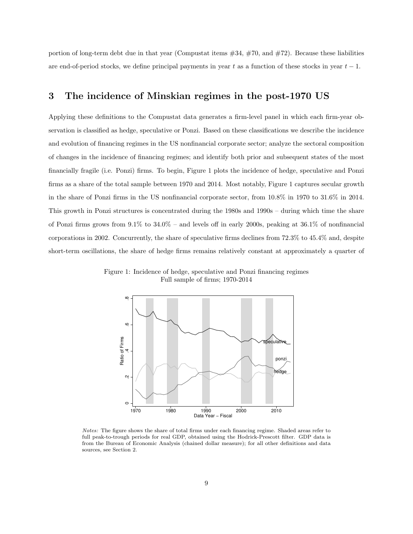portion of long-term debt due in that year (Compustat items  $\#34$ ,  $\#70$ , and  $\#72$ ). Because these liabilities are end-of-period stocks, we define principal payments in year  $t$  as a function of these stocks in year  $t-1$ .

#### 3 The incidence of Minskian regimes in the post-1970 US

Applying these definitions to the Compustat data generates a firm-level panel in which each firm-year observation is classified as hedge, speculative or Ponzi. Based on these classifications we describe the incidence and evolution of financing regimes in the US nonfinancial corporate sector; analyze the sectoral composition of changes in the incidence of financing regimes; and identify both prior and subsequent states of the most financially fragile (i.e. Ponzi) firms. To begin, Figure 1 plots the incidence of hedge, speculative and Ponzi firms as a share of the total sample between 1970 and 2014. Most notably, Figure 1 captures secular growth in the share of Ponzi firms in the US nonfinancial corporate sector, from 10.8% in 1970 to 31.6% in 2014. This growth in Ponzi structures is concentrated during the 1980s and 1990s – during which time the share of Ponzi firms grows from  $9.1\%$  to  $34.0\%$  – and levels off in early 2000s, peaking at  $36.1\%$  of nonfinancial corporations in 2002. Concurrently, the share of speculative firms declines from 72.3% to 45.4% and, despite short-term oscillations, the share of hedge firms remains relatively constant at approximately a quarter of

Figure 1: Incidence of hedge, speculative and Ponzi financing regimes Full sample of firms; 1970-2014



*Notes:* The figure shows the share of total firms under each financing regime. Shaded areas refer to full peak-to-trough periods for real GDP, obtained using the Hodrick-Prescott filter. GDP data is from the Bureau of Economic Analysis (chained dollar measure); for all other definitions and data sources, see Section 2.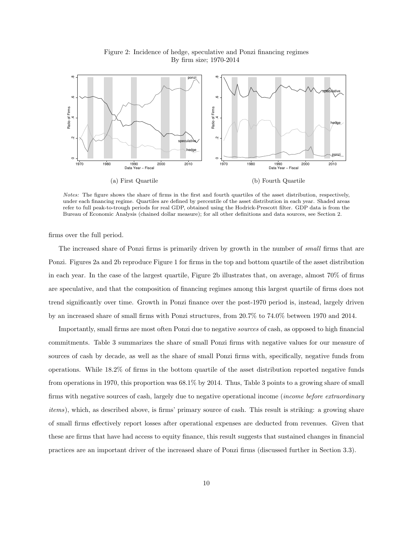

Figure 2: Incidence of hedge, speculative and Ponzi financing regimes By firm size; 1970-2014

*Notes:* The figure shows the share of firms in the first and fourth quartiles of the asset distribution, respectively, under each financing regime. Quartiles are defined by percentile of the asset distribution in each year. Shaded areas refer to full peak-to-trough periods for real GDP, obtained using the Hodrick-Prescott filter. GDP data is from the Bureau of Economic Analysis (chained dollar measure); for all other definitions and data sources, see Section 2.

firms over the full period.

The increased share of Ponzi firms is primarily driven by growth in the number of *small* firms that are Ponzi. Figures 2a and 2b reproduce Figure 1 for firms in the top and bottom quartile of the asset distribution in each year. In the case of the largest quartile, Figure 2b illustrates that, on average, almost 70% of firms are speculative, and that the composition of financing regimes among this largest quartile of firms does not trend significantly over time. Growth in Ponzi finance over the post-1970 period is, instead, largely driven by an increased share of small firms with Ponzi structures, from 20.7% to 74.0% between 1970 and 2014.

Importantly, small firms are most often Ponzi due to negative *sources* of cash, as opposed to high financial commitments. Table 3 summarizes the share of small Ponzi firms with negative values for our measure of sources of cash by decade, as well as the share of small Ponzi firms with, specifically, negative funds from operations. While 18.2% of firms in the bottom quartile of the asset distribution reported negative funds from operations in 1970, this proportion was 68.1% by 2014. Thus, Table 3 points to a growing share of small firms with negative sources of cash, largely due to negative operational income (*income before extraordinary items*), which, as described above, is firms' primary source of cash. This result is striking: a growing share of small firms effectively report losses after operational expenses are deducted from revenues. Given that these are firms that have had access to equity finance, this result suggests that sustained changes in financial practices are an important driver of the increased share of Ponzi firms (discussed further in Section 3.3).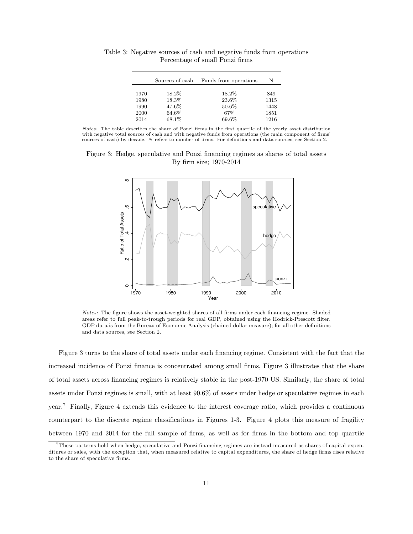|      | Sources of cash | Funds from operations | N    |
|------|-----------------|-----------------------|------|
| 1970 | 18.2%           | 18.2%                 | 849  |
| 1980 | 18.3%           | 23.6%                 | 1315 |
| 1990 | 47.6%           | 50.6%                 | 1448 |
| 2000 | 64.6%           | 67\%                  | 1851 |
| 2014 | 68.1\%          | 69.6%                 | 1216 |

Table 3: Negative sources of cash and negative funds from operations Percentage of small Ponzi firms

*Notes:* The table describes the share of Ponzi firms in the first quartile of the yearly asset distribution with negative total sources of cash and with negative funds from operations (the main component of firms' sources of cash) by decade. *N* refers to number of firms. For definitions and data sources, see Section 2.

Figure 3: Hedge, speculative and Ponzi financing regimes as shares of total assets By firm size; 1970-2014



*Notes:* The figure shows the asset-weighted shares of all firms under each financing regime. Shaded areas refer to full peak-to-trough periods for real GDP, obtained using the Hodrick-Prescott filter. GDP data is from the Bureau of Economic Analysis (chained dollar measure); for all other definitions and data sources, see Section 2.

Figure 3 turns to the share of total assets under each financing regime. Consistent with the fact that the increased incidence of Ponzi finance is concentrated among small firms, Figure 3 illustrates that the share of total assets across financing regimes is relatively stable in the post-1970 US. Similarly, the share of total assets under Ponzi regimes is small, with at least 90.6% of assets under hedge or speculative regimes in each year.<sup>7</sup> Finally, Figure 4 extends this evidence to the interest coverage ratio, which provides a continuous counterpart to the discrete regime classifications in Figures 1-3. Figure 4 plots this measure of fragility between 1970 and 2014 for the full sample of firms, as well as for firms in the bottom and top quartile

 $7$ These patterns hold when hedge, speculative and Ponzi financing regimes are instead measured as shares of capital expenditures or sales, with the exception that, when measured relative to capital expenditures, the share of hedge firms rises relative to the share of speculative firms.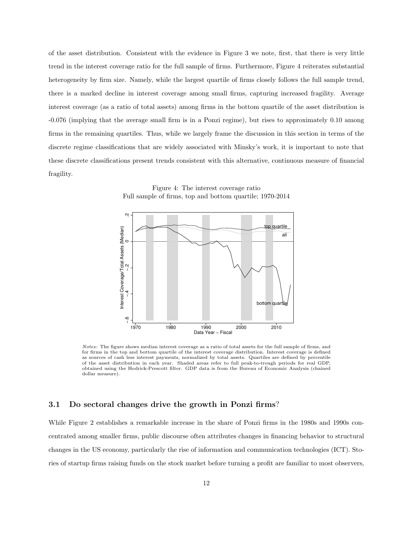of the asset distribution. Consistent with the evidence in Figure 3 we note, first, that there is very little trend in the interest coverage ratio for the full sample of firms. Furthermore, Figure 4 reiterates substantial heterogeneity by firm size. Namely, while the largest quartile of firms closely follows the full sample trend, there is a marked decline in interest coverage among small firms, capturing increased fragility. Average interest coverage (as a ratio of total assets) among firms in the bottom quartile of the asset distribution is -0.076 (implying that the average small firm is in a Ponzi regime), but rises to approximately 0.10 among firms in the remaining quartiles. Thus, while we largely frame the discussion in this section in terms of the discrete regime classifications that are widely associated with Minsky's work, it is important to note that these discrete classifications present trends consistent with this alternative, continuous measure of financial fragility.

Figure 4: The interest coverage ratio Full sample of firms, top and bottom quartile; 1970-2014



*Notes:* The figure shows median interest coverage as a ratio of total assets for the full sample of firms, and for firms in the top and bottom quartile of the interest coverage distribution. Interest coverage is defined as sources of cash less interest payments, normalized by total assets. Quartiles are defined by percentile of the asset distribution in each year. Shaded areas refer to full peak-to-trough periods for real GDP, obtained using the Hodrick-Prescott filter. GDP data is from the Bureau of Economic Analysis (chained dollar measure).

#### 3.1 Do sectoral changes drive the growth in Ponzi firms?

While Figure 2 establishes a remarkable increase in the share of Ponzi firms in the 1980s and 1990s concentrated among smaller firms, public discourse often attributes changes in financing behavior to structural changes in the US economy, particularly the rise of information and communication technologies (ICT). Stories of startup firms raising funds on the stock market before turning a profit are familiar to most observers,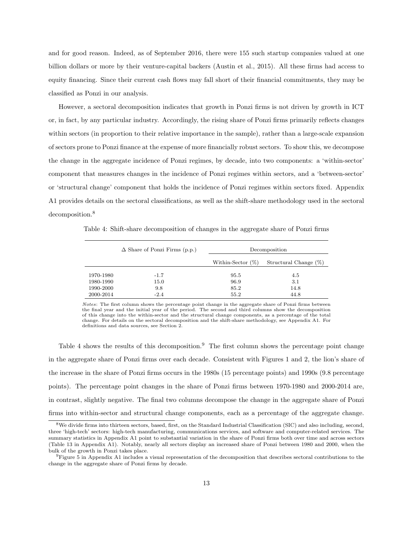and for good reason. Indeed, as of September 2016, there were 155 such startup companies valued at one billion dollars or more by their venture-capital backers (Austin et al., 2015). All these firms had access to equity financing. Since their current cash flows may fall short of their financial commitments, they may be classified as Ponzi in our analysis.

However, a sectoral decomposition indicates that growth in Ponzi firms is not driven by growth in ICT or, in fact, by any particular industry. Accordingly, the rising share of Ponzi firms primarily reflects changes within sectors (in proportion to their relative importance in the sample), rather than a large-scale expansion of sectors prone to Ponzi finance at the expense of more financially robust sectors. To show this, we decompose the change in the aggregate incidence of Ponzi regimes, by decade, into two components: a 'within-sector' component that measures changes in the incidence of Ponzi regimes within sectors, and a 'between-sector' or 'structural change' component that holds the incidence of Ponzi regimes within sectors fixed. Appendix A1 provides details on the sectoral classifications, as well as the shift-share methodology used in the sectoral decomposition.<sup>8</sup>

Table 4: Shift-share decomposition of changes in the aggregate share of Ponzi firms

|           | $\Delta$ Share of Ponzi Firms (p.p.) |                      | Decomposition         |
|-----------|--------------------------------------|----------------------|-----------------------|
|           |                                      | Within-Sector $(\%)$ | Structural Change (%) |
| 1970-1980 | $-1.7$                               | 95.5                 | 4.5                   |
| 1980-1990 | 15.0                                 | 96.9                 | 3.1                   |
| 1990-2000 | 9.8                                  | 85.2                 | 14.8                  |
| 2000-2014 | $-2.4$                               | 55.2                 | 44.8                  |

*Notes*: The first column shows the percentage point change in the aggregate share of Ponzi firms between the final year and the initial year of the period. The second and third columns show the decomposition of this change into the within-sector and the structural change components, as a percentage of the total change. For details on the sectoral decomposition and the shift-share methodology, see Appendix A1. For definitions and data sources, see Section 2.

Table 4 shows the results of this decomposition.<sup>9</sup> The first column shows the percentage point change in the aggregate share of Ponzi firms over each decade. Consistent with Figures 1 and 2, the lion's share of the increase in the share of Ponzi firms occurs in the 1980s (15 percentage points) and 1990s (9.8 percentage points). The percentage point changes in the share of Ponzi firms between 1970-1980 and 2000-2014 are, in contrast, slightly negative. The final two columns decompose the change in the aggregate share of Ponzi firms into within-sector and structural change components, each as a percentage of the aggregate change.

<sup>&</sup>lt;sup>8</sup>We divide firms into thirteen sectors, based, first, on the Standard Industrial Classification (SIC) and also including, second, three 'high-tech' sectors: high-tech manufacturing, communications services, and software and computer-related services. The summary statistics in Appendix A1 point to substantial variation in the share of Ponzi firms both over time and across sectors (Table 13 in Appendix A1). Notably, nearly all sectors display an increased share of Ponzi between 1980 and 2000, when the bulk of the growth in Ponzi takes place.

<sup>9</sup>Figure 5 in Appendix A1 includes a visual representation of the decomposition that describes sectoral contributions to the change in the aggregate share of Ponzi firms by decade.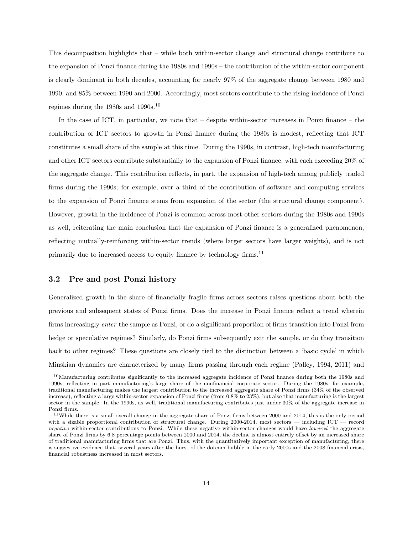This decomposition highlights that – while both within-sector change and structural change contribute to the expansion of Ponzi finance during the 1980s and 1990s – the contribution of the within-sector component is clearly dominant in both decades, accounting for nearly 97% of the aggregate change between 1980 and 1990, and 85% between 1990 and 2000. Accordingly, most sectors contribute to the rising incidence of Ponzi regimes during the 1980s and 1990s.<sup>10</sup>

In the case of ICT, in particular, we note that – despite within-sector increases in Ponzi finance – the contribution of ICT sectors to growth in Ponzi finance during the 1980s is modest, reflecting that ICT constitutes a small share of the sample at this time. During the 1990s, in contrast, high-tech manufacturing and other ICT sectors contribute substantially to the expansion of Ponzi finance, with each exceeding 20% of the aggregate change. This contribution reflects, in part, the expansion of high-tech among publicly traded firms during the 1990s; for example, over a third of the contribution of software and computing services to the expansion of Ponzi finance stems from expansion of the sector (the structural change component). However, growth in the incidence of Ponzi is common across most other sectors during the 1980s and 1990s as well, reiterating the main conclusion that the expansion of Ponzi finance is a generalized phenomenon, reflecting mutually-reinforcing within-sector trends (where larger sectors have larger weights), and is not primarily due to increased access to equity finance by technology firms.<sup>11</sup>

#### 3.2 Pre and post Ponzi history

Generalized growth in the share of financially fragile firms across sectors raises questions about both the previous and subsequent states of Ponzi firms. Does the increase in Ponzi finance reflect a trend wherein firms increasingly *enter* the sample as Ponzi, or do a significant proportion of firms transition into Ponzi from hedge or speculative regimes? Similarly, do Ponzi firms subsequently exit the sample, or do they transition back to other regimes? These questions are closely tied to the distinction between a 'basic cycle' in which Minskian dynamics are characterized by many firms passing through each regime (Palley, 1994, 2011) and

<sup>10</sup>Manufacturing contributes significantly to the increased aggregate incidence of Ponzi finance during both the 1980s and 1990s, reflecting in part manufacturing's large share of the nonfinancial corporate sector. During the 1980s, for example, traditional manufacturing makes the largest contribution to the increased aggregate share of Ponzi firms (34% of the observed increase), reflecting a large within-sector expansion of Ponzi firms (from 0.8% to 23%), but also that manufacturing is the largest sector in the sample. In the 1990s, as well, traditional manufacturing contributes just under 30% of the aggregate increase in Ponzi firms.

 $11$ While there is a small overall change in the aggregate share of Ponzi firms between 2000 and 2014, this is the only period with a sizable proportional contribution of structural change. During 2000-2014, most sectors — including  $ICT$  — record *negative* within-sector contributions to Ponzi. While these negative within-sector changes would have *lowered* the aggregate share of Ponzi firms by 6.8 percentage points between 2000 and 2014, the decline is almost entirely offset by an increased share of traditional manufacturing firms that are Ponzi. Thus, with the quantitatively important exception of manufacturing, there is suggestive evidence that, several years after the burst of the dotcom bubble in the early 2000s and the 2008 financial crisis, financial robustness increased in most sectors.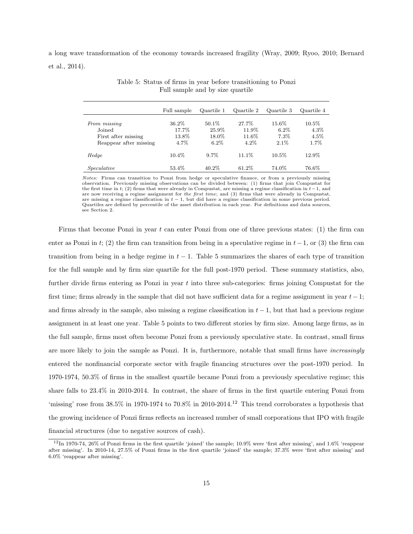a long wave transformation of the economy towards increased fragility (Wray, 2009; Ryoo, 2010; Bernard et al., 2014).

|                                                                         | Full sample                      | Quartile 1                          | Quartile 2                         | Quartile 3                          | Quartile 4                          |
|-------------------------------------------------------------------------|----------------------------------|-------------------------------------|------------------------------------|-------------------------------------|-------------------------------------|
| From missing<br>Joined<br>First after missing<br>Reappear after missing | 36.2\%<br>17.7%<br>13.8%<br>4.7% | 50.1\%<br>25.9%<br>18.0%<br>$6.2\%$ | 27.7%<br>11.9%<br>11.6%<br>$4.2\%$ | 15.6%<br>$6.2\%$<br>7.3%<br>$2.1\%$ | $10.5\%$<br>4.3%<br>$4.5\%$<br>1.7% |
| Hedge                                                                   | $10.4\%$                         | $9.7\%$                             | 11.1\%                             | $10.5\%$                            | 12.9%                               |
| Speculative                                                             | 53.4%                            | 40.2\%                              | 61.2\%                             | 74.0%                               | 76.6%                               |

Table 5: Status of firms in year before transitioning to Ponzi Full sample and by size quartile

*Notes:* Firms can transition to Ponzi from hedge or speculative finance, or from a previously missing observation. Previously missing observations can be divided between: (1) firms that join Compustat for the first time in  $t$ ; (2) firms that were already in Compustat, are missing a regime classification in  $t-1$ , and are now receiving a regime assignment for *the first time*; and (3) firms that were already in Compustat, are missing a regime classification in  $t - 1$ , but did have a regime classification in some previous period. Quartiles are defined by percentile of the asset distribution in each year. For definitions and data sources, see Section 2.

Firms that become Ponzi in year *t* can enter Ponzi from one of three previous states: (1) the firm can enter as Ponzi in  $t$ ; (2) the firm can transition from being in a speculative regime in  $t-1$ , or (3) the firm can transition from being in a hedge regime in  $t-1$ . Table 5 summarizes the shares of each type of transition for the full sample and by firm size quartile for the full post-1970 period. These summary statistics, also, further divide firms entering as Ponzi in year *t* into three sub-categories: firms joining Compustat for the first time; firms already in the sample that did not have sufficient data for a regime assignment in year  $t-1$ ; and firms already in the sample, also missing a regime classification in  $t-1$ , but that had a previous regime assignment in at least one year. Table 5 points to two different stories by firm size. Among large firms, as in the full sample, firms most often become Ponzi from a previously speculative state. In contrast, small firms are more likely to join the sample as Ponzi. It is, furthermore, notable that small firms have *increasingly* entered the nonfinancial corporate sector with fragile financing structures over the post-1970 period. In 1970-1974, 50.3% of firms in the smallest quartile became Ponzi from a previously speculative regime; this share falls to 23.4% in 2010-2014. In contrast, the share of firms in the first quartile entering Ponzi from 'missing' rose from  $38.5\%$  in 1970-1974 to  $70.8\%$  in 2010-2014.<sup>12</sup> This trend corroborates a hypothesis that the growing incidence of Ponzi firms reflects an increased number of small corporations that IPO with fragile financial structures (due to negative sources of cash).

 $12$ In 1970-74, 26% of Ponzi firms in the first quartile 'joined' the sample; 10.9% were 'first after missing', and 1.6% 'reappear after missing'. In 2010-14, 27.5% of Ponzi firms in the first quartile 'joined' the sample; 37.3% were 'first after missing' and 6.0% 'reappear after missing'.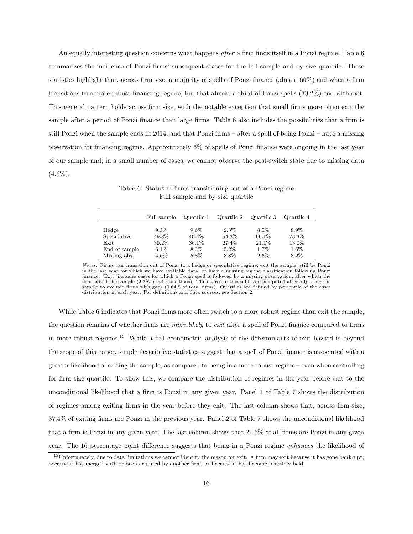An equally interesting question concerns what happens *after* a firm finds itself in a Ponzi regime. Table 6 summarizes the incidence of Ponzi firms' subsequent states for the full sample and by size quartile. These statistics highlight that, across firm size, a majority of spells of Ponzi finance (almost 60%) end when a firm transitions to a more robust financing regime, but that almost a third of Ponzi spells (30.2%) end with exit. This general pattern holds across firm size, with the notable exception that small firms more often exit the sample after a period of Ponzi finance than large firms. Table 6 also includes the possibilities that a firm is still Ponzi when the sample ends in 2014, and that Ponzi firms – after a spell of being Ponzi – have a missing observation for financing regime. Approximately 6% of spells of Ponzi finance were ongoing in the last year of our sample and, in a small number of cases, we cannot observe the post-switch state due to missing data  $(4.6\%).$ 

|               | Full sample | Quartile 1 | Quartile 2 | Quartile 3 | Quartile 4 |
|---------------|-------------|------------|------------|------------|------------|
| Hedge         | $9.3\%$     | $9.6\%$    | $9.3\%$    | 8.5%       | 8.9%       |
| Speculative   | 49.8%       | 40.4\%     | 54.3%      | 66.1\%     | 73.3%      |
| Exit          | 30.2%       | 36.1\%     | 27.4%      | 21.1\%     | 13.0%      |
| End of sample | $6.1\%$     | 8.3%       | $5.2\%$    | 1.7%       | $1.6\%$    |
| Missing obs.  | $4.6\%$     | 5.8%       | 3.8%       | $2.6\%$    | $3.2\%$    |

Table 6: Status of firms transitioning out of a Ponzi regime Full sample and by size quartile

While Table 6 indicates that Ponzi firms more often switch to a more robust regime than exit the sample, the question remains of whether firms are *more likely* to *exit* after a spell of Ponzi finance compared to firms in more robust regimes.<sup>13</sup> While a full econometric analysis of the determinants of exit hazard is beyond the scope of this paper, simple descriptive statistics suggest that a spell of Ponzi finance is associated with a greater likelihood of exiting the sample, as compared to being in a more robust regime – even when controlling for firm size quartile. To show this, we compare the distribution of regimes in the year before exit to the unconditional likelihood that a firm is Ponzi in any given year. Panel 1 of Table 7 shows the distribution of regimes among exiting firms in the year before they exit. The last column shows that, across firm size, 37.4% of exiting firms are Ponzi in the previous year. Panel 2 of Table 7 shows the unconditional likelihood that a firm is Ponzi in any given year. The last column shows that 21.5% of all firms are Ponzi in any given year. The 16 percentage point difference suggests that being in a Ponzi regime *enhances* the likelihood of

*Notes:* Firms can transition out of Ponzi to a hedge or speculative regime; exit the sample; still be Ponzi in the last year for which we have available data; or have a missing regime classification following Ponzi finance. 'Exit' includes cases for which a Ponzi spell is followed by a missing observation, after which the firm exited the sample (2.7% of all transitions). The shares in this table are computed after adjusting the sample to exclude firms with gaps (0.64% of total firms). Quartiles are defined by percentile of the asset distribution in each year. For definitions and data sources, see Section 2.

<sup>&</sup>lt;sup>13</sup>Unfortunately, due to data limitations we cannot identify the reason for exit. A firm may exit because it has gone bankrupt; because it has merged with or been acquired by another firm; or because it has become privately held.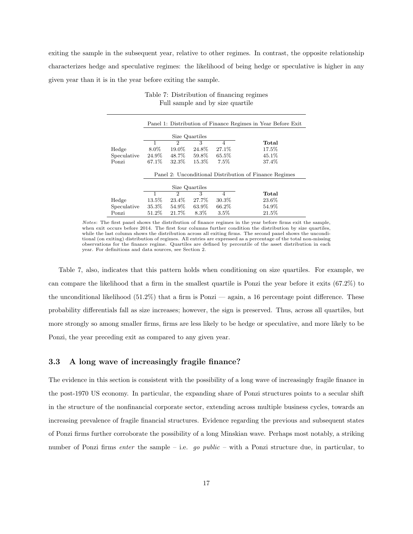exiting the sample in the subsequent year, relative to other regimes. In contrast, the opposite relationship characterizes hedge and speculative regimes: the likelihood of being hedge or speculative is higher in any given year than it is in the year before exiting the sample.

|             |          |                |                |                | Panel 1: Distribution of Finance Regimes in Year Before Exit |
|-------------|----------|----------------|----------------|----------------|--------------------------------------------------------------|
|             |          |                | Size Quartiles |                |                                                              |
|             | 1        | 2              | 3              | $\overline{4}$ | Total                                                        |
| Hedge       | $8.0\%$  | 19.0%          | 24.8%          | 27.1%          | 17.5%                                                        |
| Speculative | 24.9%    | 48.7%          | 59.8%          | 65.5%          | 45.1%                                                        |
| Ponzi       | 67.1\%   | 32.3%          | 15.3%          | 7.5%           | 37.4%                                                        |
|             |          |                |                |                | Panel 2: Unconditional Distribution of Finance Regimes       |
|             |          |                | Size Quartiles |                |                                                              |
|             | 1        | $\mathfrak{D}$ | 3              | $\overline{4}$ | Total                                                        |
| Hedge       | $13.5\%$ | 23.4%          | 27.7%          | $30.3\%$       | 23.6%                                                        |
| Speculative | 35.3%    | 54.9%          | 63.9%          | 66.2\%         | 54.9%                                                        |
| Ponzi       | 51.2%    | 21.7%          | 8.3%           | 3.5%           | 21.5%                                                        |

Table 7: Distribution of financing regimes Full sample and by size quartile

*Notes*: The first panel shows the distribution of finance regimes in the year before firms exit the sample, when exit occurs before 2014. The first four columns further condition the distribution by size quartiles, while the last column shows the distribution across all exiting firms. The second panel shows the unconditional (on exiting) distribution of regimes. All entries are expressed as a percentage of the total non-missing observations for the finance regime. Quartiles are defined by percentile of the asset distribution in each year. For definitions and data sources, see Section 2.

Table 7, also, indicates that this pattern holds when conditioning on size quartiles. For example, we can compare the likelihood that a firm in the smallest quartile is Ponzi the year before it exits (67.2%) to the unconditional likelihood  $(51.2\%)$  that a firm is Ponzi — again, a 16 percentage point difference. These probability differentials fall as size increases; however, the sign is preserved. Thus, across all quartiles, but more strongly so among smaller firms, firms are less likely to be hedge or speculative, and more likely to be Ponzi, the year preceding exit as compared to any given year.

#### 3.3 A long wave of increasingly fragile finance?

The evidence in this section is consistent with the possibility of a long wave of increasingly fragile finance in the post-1970 US economy. In particular, the expanding share of Ponzi structures points to a secular shift in the structure of the nonfinancial corporate sector, extending across multiple business cycles, towards an increasing prevalence of fragile financial structures. Evidence regarding the previous and subsequent states of Ponzi firms further corroborate the possibility of a long Minskian wave. Perhaps most notably, a striking number of Ponzi firms *enter* the sample – i.e. *go public* – with a Ponzi structure due, in particular, to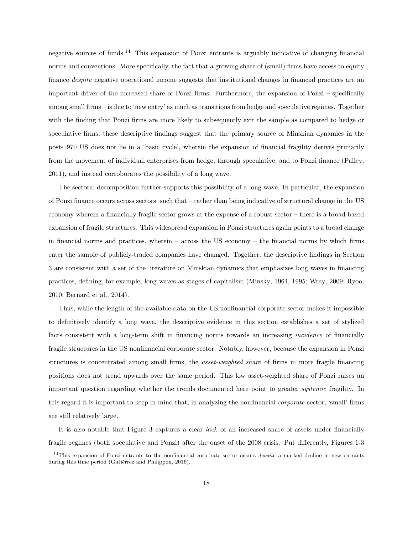negative sources of funds.<sup>14</sup> This expansion of Ponzi entrants is arguably indicative of changing financial norms and conventions. More specifically, the fact that a growing share of (small) firms have access to equity finance *despite* negative operational income suggests that institutional changes in financial practices are an important driver of the increased share of Ponzi firms. Furthermore, the expansion of Ponzi – specifically among small firms – is due to 'new entry' as much as transitions from hedge and speculative regimes. Together with the finding that Ponzi firms are more likely to subsequently exit the sample as compared to hedge or speculative firms, these descriptive findings suggest that the primary source of Minskian dynamics in the post-1970 US does not lie in a 'basic cycle', wherein the expansion of financial fragility derives primarily from the movement of individual enterprises from hedge, through speculative, and to Ponzi finance (Palley, 2011), and instead corroborates the possibility of a long wave.

The sectoral decomposition further supports this possibility of a long wave. In particular, the expansion of Ponzi finance occurs across sectors, such that – rather than being indicative of structural change in the US economy wherein a financially fragile sector grows at the expense of a robust sector – there is a broad-based expansion of fragile structures. This widespread expansion in Ponzi structures again points to a broad change in financial norms and practices, wherein – across the US economy – the financial norms by which firms enter the sample of publicly-traded companies have changed. Together, the descriptive findings in Section 3 are consistent with a set of the literature on Minskian dynamics that emphasizes long waves in financing practices, defining, for example, long waves as stages of capitalism (Minsky, 1964, 1995; Wray, 2009; Ryoo, 2010; Bernard et al., 2014).

Thus, while the length of the available data on the US nonfinancial corporate sector makes it impossible to definitively identify a long wave, the descriptive evidence in this section establishes a set of stylized facts consistent with a long-term shift in financing norms towards an increasing *incidence* of financially fragile structures in the US nonfinancial corporate sector. Notably, however, because the expansion in Ponzi structures is concentrated among small firms, the *asset-weighted share* of firms in more fragile financing positions does not trend upwards over the same period. This low asset-weighted share of Ponzi raises an important question regarding whether the trends documented here point to greater *systemic* fragility. In this regard it is important to keep in mind that, in analyzing the nonfinancial *corporate* sector, 'small' firms are still relatively large.

It is also notable that Figure 3 captures a clear *lack* of an increased share of assets under financially fragile regimes (both speculative and Ponzi) after the onset of the 2008 crisis. Put differently, Figures 1-3

<sup>14</sup>This expansion of Ponzi entrants to the nonfinancial corporate sector occurs *despite* a marked decline in new entrants during this time period (Gutiérrez and Philippon, 2016).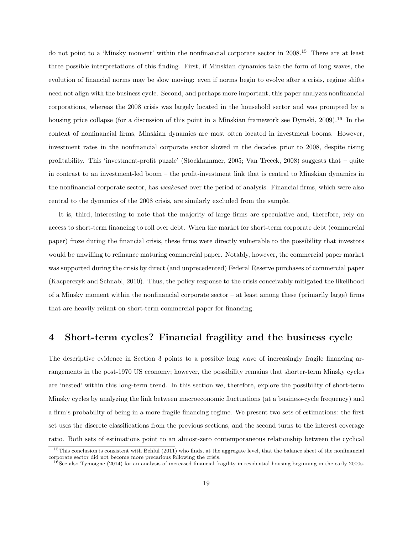do not point to a 'Minsky moment' within the nonfinancial corporate sector in 2008.<sup>15</sup> There are at least three possible interpretations of this finding. First, if Minskian dynamics take the form of long waves, the evolution of financial norms may be slow moving: even if norms begin to evolve after a crisis, regime shifts need not align with the business cycle. Second, and perhaps more important, this paper analyzes nonfinancial corporations, whereas the 2008 crisis was largely located in the household sector and was prompted by a housing price collapse (for a discussion of this point in a Minskian framework see Dymski, 2009).<sup>16</sup> In the context of nonfinancial firms, Minskian dynamics are most often located in investment booms. However, investment rates in the nonfinancial corporate sector slowed in the decades prior to 2008, despite rising profitability. This 'investment-profit puzzle' (Stockhammer, 2005; Van Treeck, 2008) suggests that – quite in contrast to an investment-led boom – the profit-investment link that is central to Minskian dynamics in the nonfinancial corporate sector, has *weakened* over the period of analysis. Financial firms, which were also central to the dynamics of the 2008 crisis, are similarly excluded from the sample.

It is, third, interesting to note that the majority of large firms are speculative and, therefore, rely on access to short-term financing to roll over debt. When the market for short-term corporate debt (commercial paper) froze during the financial crisis, these firms were directly vulnerable to the possibility that investors would be unwilling to refinance maturing commercial paper. Notably, however, the commercial paper market was supported during the crisis by direct (and unprecedented) Federal Reserve purchases of commercial paper (Kacperczyk and Schnabl, 2010). Thus, the policy response to the crisis conceivably mitigated the likelihood of a Minsky moment within the nonfinancial corporate sector – at least among these (primarily large) firms that are heavily reliant on short-term commercial paper for financing.

#### 4 Short-term cycles? Financial fragility and the business cycle

The descriptive evidence in Section 3 points to a possible long wave of increasingly fragile financing arrangements in the post-1970 US economy; however, the possibility remains that shorter-term Minsky cycles are 'nested' within this long-term trend. In this section we, therefore, explore the possibility of short-term Minsky cycles by analyzing the link between macroeconomic fluctuations (at a business-cycle frequency) and a firm's probability of being in a more fragile financing regime. We present two sets of estimations: the first set uses the discrete classifications from the previous sections, and the second turns to the interest coverage ratio. Both sets of estimations point to an almost-zero contemporaneous relationship between the cyclical

<sup>&</sup>lt;sup>15</sup>This conclusion is consistent with Behlul (2011) who finds, at the aggregate level, that the balance sheet of the nonfinancial corporate sector did not become more precarious following the crisis.

 $16$ See also Tymoigne (2014) for an analysis of increased financial fragility in residential housing beginning in the early 2000s.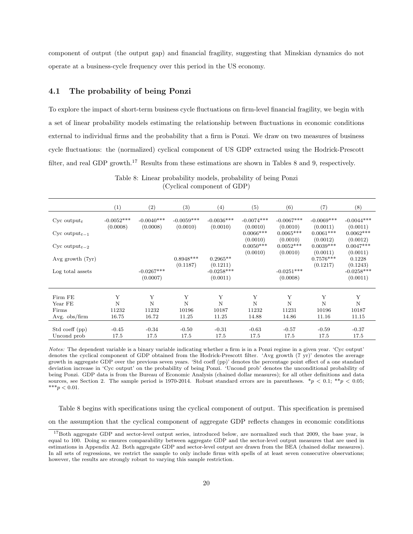component of output (the output gap) and financial fragility, suggesting that Minskian dynamics do not operate at a business-cycle frequency over this period in the US economy.

#### 4.1 The probability of being Ponzi

To explore the impact of short-term business cycle fluctuations on firm-level financial fragility, we begin with a set of linear probability models estimating the relationship between fluctuations in economic conditions external to individual firms and the probability that a firm is Ponzi. We draw on two measures of business cycle fluctuations: the (normalized) cyclical component of US GDP extracted using the Hodrick-Prescott filter, and real GDP growth.<sup>17</sup> Results from these estimations are shown in Tables 8 and 9, respectively.

|                           | (1)          | (2)          | (3)          | (4)                      | (5)          | (6)          | (7)          | (8)                      |
|---------------------------|--------------|--------------|--------------|--------------------------|--------------|--------------|--------------|--------------------------|
| $Cyc$ output <sub>t</sub> | $-0.0052***$ | $-0.0040***$ | $-0.0059***$ | $-0.0036***$             | $-0.0074***$ | $-0.0067***$ | $-0.0069***$ | $-0.0044***$             |
|                           | (0.0008)     | (0.0008)     | (0.0010)     | (0.0010)                 | (0.0010)     | (0.0010)     | (0.0011)     | (0.0011)                 |
| Cyc output <sub>t-1</sub> |              |              |              |                          | $0.0066***$  | $0.0065***$  | $0.0061***$  | $0.0062***$              |
|                           |              |              |              |                          | (0.0010)     | (0.0010)     | (0.0012)     | (0.0012)                 |
| Cyc output <sub>t-2</sub> |              |              |              |                          | $0.0050***$  | $0.0052***$  | $0.0039***$  | $0.0047***$              |
|                           |              |              |              |                          | (0.0010)     | (0.0010)     | (0.0011)     | (0.0011)                 |
| Avg growth (7yr)          |              |              | $0.8948***$  | $0.2965**$               |              |              | $0.7576***$  | 0.1228                   |
| Log total assets          |              | $-0.0267***$ | (0.1187)     | (0.1211)<br>$-0.0258***$ |              | $-0.0251***$ | (0.1217)     | (0.1243)<br>$-0.0258***$ |
|                           |              | (0.0007)     |              | (0.0011)                 |              | (0.0008)     |              | (0.0011)                 |
|                           |              |              |              |                          |              |              |              |                          |
| Firm FE                   | Y            | Y            | Y            | Υ                        | Y            | Y            | Y            | Y                        |
| Year FE                   | $\mathbf N$  | N            | $\mathbf N$  | N                        | $\mathbf N$  | $\mathbf N$  | $\mathbf N$  | $\mathbf N$              |
| Firms                     | 11232        | 11232        | 10196        | 10187                    | 11232        | 11231        | 10196        | 10187                    |
| Avg. $obs/firm$           | 16.75        | 16.72        | 11.25        | 11.25                    | 14.88        | 14.86        | 11.16        | 11.15                    |
|                           |              |              |              |                          |              |              |              |                          |
| Std coeff (pp)            | $-0.45$      | $-0.34$      | $-0.50$      | $-0.31$                  | $-0.63$      | $-0.57$      | $-0.59$      | $-0.37$                  |
| Uncond prob               | 17.5         | 17.5         | 17.5         | 17.5                     | 17.5         | 17.5         | 17.5         | 17.5                     |

Table 8: Linear probability models, probability of being Ponzi (Cyclical component of GDP)

*Notes:* The dependent variable is a binary variable indicating whether a firm is in a Ponzi regime in a given year. 'Cyc output' denotes the cyclical component of GDP obtained from the Hodrick-Prescott filter. 'Avg growth (7 yr)' denotes the average growth in aggregate GDP over the previous seven years. 'Std coeff (pp)' denotes the percentage point effect of a one standard deviation increase in 'Cyc output' on the probability of being Ponzi. 'Uncond prob' denotes the unconditional probability of being Ponzi. GDP data is from the Bureau of Economic Analysis (chained dollar measures); for all other definitions and data sources, see Section 2. The sample period is 1970-2014. Robust standard errors are in parentheses.  $*_p$  < 0.1;  $*_p$  < 0.05;  $***p<0.01$ .

Table 8 begins with specifications using the cyclical component of output. This specification is premised on the assumption that the cyclical component of aggregate GDP reflects changes in economic conditions

<sup>&</sup>lt;sup>17</sup>Both aggregate GDP and sector-level output series, introduced below, are normalized such that 2009, the base year, is equal to 100. Doing so ensures comparability between aggregate GDP and the sector-level output measures that are used in estimations in Appendix A2. Both aggregate GDP and sector-level output are drawn from the BEA (chained dollar measures). In all sets of regressions, we restrict the sample to only include firms with spells of at least seven consecutive observations; however, the results are strongly robust to varying this sample restriction.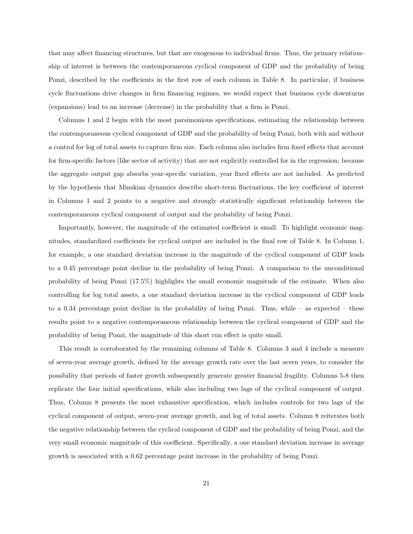that may affect financing structures, but that are exogenous to individual firms. Thus, the primary relationship of interest is between the contemporaneous cyclical component of GDP and the probability of being Ponzi, described by the coefficients in the first row of each column in Table 8. In particular, if business cycle fluctuations drive changes in firm financing regimes, we would expect that business cycle downturns (expansions) lead to an increase (decrease) in the probability that a firm is Ponzi.

Columns 1 and 2 begin with the most parsimonious specifications, estimating the relationship between the contemporaneous cyclical component of GDP and the probability of being Ponzi, both with and without a control for log of total assets to capture firm size. Each column also includes firm fixed effects that account for firm-specific factors (like sector of activity) that are not explicitly controlled for in the regression; because the aggregate output gap absorbs year-specific variation, year fixed effects are not included. As predicted by the hypothesis that Minskian dynamics describe short-term fluctuations, the key coefficient of interest in Columns 1 and 2 points to a negative and strongly statistically significant relationship between the contemporaneous cyclical component of output and the probability of being Ponzi.

Importantly, however, the magnitude of the estimated coefficient is small. To highlight economic magnitudes, standardized coefficients for cyclical output are included in the final row of Table 8. In Column 1, for example, a one standard deviation increase in the magnitude of the cyclical component of GDP leads to a 0.45 percentage point decline in the probability of being Ponzi. A comparison to the unconditional probability of being Ponzi (17.5%) highlights the small economic magnitude of the estimate. When also controlling for log total assets, a one standard deviation increase in the cyclical component of GDP leads to a 0.34 percentage point decline in the probability of being Ponzi. Thus, while – as expected – these results point to a negative contemporaneous relationship between the cyclical component of GDP and the probability of being Ponzi, the magnitude of this short run effect is quite small.

This result is corroborated by the remaining columns of Table 8. Columns 3 and 4 include a measure of seven-year average growth, defined by the average growth rate over the last seven years, to consider the possibility that periods of faster growth subsequently generate greater financial fragility. Columns 5-8 then replicate the four initial specifications, while also including two lags of the cyclical component of output. Thus, Column 8 presents the most exhaustive specification, which includes controls for two lags of the cyclical component of output, seven-year average growth, and log of total assets. Column 8 reiterates both the negative relationship between the cyclical component of GDP and the probability of being Ponzi, and the very small economic magnitude of this coefficient. Specifically, a one standard deviation increase in average growth is associated with a 0.62 percentage point increase in the probability of being Ponzi.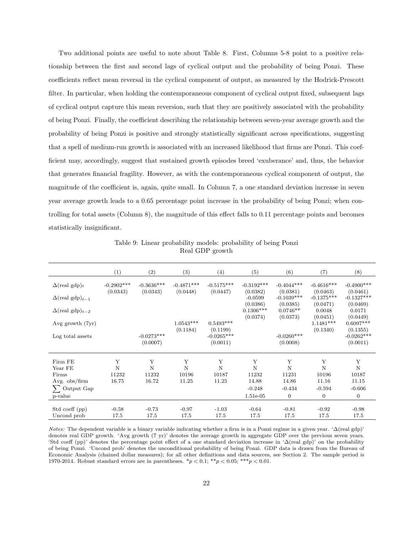Two additional points are useful to note about Table 8. First, Columns 5-8 point to a positive relationship between the first and second lags of cyclical output and the probability of being Ponzi. These coefficients reflect mean reversal in the cyclical component of output, as measured by the Hodrick-Prescott filter. In particular, when holding the contemporaneous component of cyclical output fixed, subsequent lags of cyclical output capture this mean reversion, such that they are positively associated with the probability of being Ponzi. Finally, the coefficient describing the relationship between seven-year average growth and the probability of being Ponzi is positive and strongly statistically significant across specifications, suggesting that a spell of medium-run growth is associated with an increased likelihood that firms are Ponzi. This coefficient may, accordingly, suggest that sustained growth episodes breed 'exuberance' and, thus, the behavior that generates financial fragility. However, as with the contemporaneous cyclical component of output, the magnitude of the coefficient is, again, quite small. In Column 7, a one standard deviation increase in seven year average growth leads to a 0.65 percentage point increase in the probability of being Ponzi; when controlling for total assets (Column 8), the magnitude of this effect falls to  $0.11$  percentage points and becomes statistically insignificant.

|                                    | (1)          | (2)          | (3)          | (4)                      | (5)                   | (6)                      | (7)                      | (8)                      |
|------------------------------------|--------------|--------------|--------------|--------------------------|-----------------------|--------------------------|--------------------------|--------------------------|
| $\Delta$ (real gdp) <sub>t</sub>   | $-0.2902***$ | $-0.3636***$ | $-0.4871***$ | $-0.5175***$             | $-0.3192***$          | $-0.4044***$             | $-0.4616***$             | $-0.4900$ ***            |
|                                    | (0.0343)     | (0.0343)     | (0.0448)     | (0.0447)                 | (0.0382)              | (0.0381)                 | (0.0463)                 | (0.0461)                 |
| $\Delta$ (real gdp) <sub>t-1</sub> |              |              |              |                          | $-0.0599$<br>(0.0386) | $-0.1039***$<br>(0.0385) | $-0.1375***$<br>(0.0471) | $-0.1327***$<br>(0.0469) |
| $\Delta$ (real gdp) <sub>t-2</sub> |              |              |              |                          | $0.1306***$           | $0.0746**$               | 0.0048                   | 0.0171                   |
|                                    |              |              |              |                          | (0.0374)              | (0.0373)                 | (0.0451)                 | (0.0449)                 |
| Avg growth (7yr)                   |              |              | $1.0543***$  | $0.5493***$              |                       |                          | $1.1481***$              | $0.6097***$              |
| Log total assets                   |              | $-0.0273***$ | (0.1184)     | (0.1199)<br>$-0.0265***$ |                       | $-0.0260***$             | (0.1340)                 | (0.1355)<br>$-0.0262***$ |
|                                    |              | (0.0007)     |              | (0.0011)                 |                       | (0.0008)                 |                          | (0.0011)                 |
| Firm FE                            | Y            | Y            | Y            | Y                        | Y                     | Y                        | Y                        | Y                        |
| Year FE                            | $\mathbf N$  | N            | $\mathbf N$  | N                        | N                     | N                        | $\mathbf N$              | $\mathbf N$              |
| Firms                              | 11232        | 11232        | 10196        | 10187                    | 11232                 | 11231                    | 10196                    | 10187                    |
| Avg. obs/firm                      | 16.75        | 16.72        | 11.25        | 11.25                    | 14.88                 | 14.86                    | 11.16                    | 11.15                    |
| $\sum$ Output Gap                  |              |              |              |                          | $-0.248$              | $-0.434$                 | $-0.594$                 | $-0.606$                 |
| p-value                            |              |              |              |                          | $1.51e-05$            | $\mathbf{0}$             | $\mathbf{0}$             | $\mathbf{0}$             |
| Std coeff (pp)                     | $-0.58$      | $-0.73$      | $-0.97$      | $-1.03$                  | $-0.64$               | $-0.81$                  | $-0.92$                  | $-0.98$                  |
| Uncond prob                        | 17.5         | 17.5         | 17.5         | 17.5                     | 17.5                  | 17.5                     | 17.5                     | 17.5                     |

Table 9: Linear probability models: probability of being Ponzi Real GDP growth

*Notes:* The dependent variable is a binary variable indicating whether a firm is in a Ponzi regime in a given year. ' $\Delta$ (real gdp)' denotes real GDP growth. 'Avg growth (7 yr)' denotes the average growth in aggregate GDP over the previous seven years. 'Std coeff (pp)' denotes the percentage point effect of a one standard deviation increase in ' $\Delta$ (real gdp)' on the probability of being Ponzi. 'Uncond prob' denotes the unconditional probability of being Ponzi. GDP data is drawn from the Bureau of Economic Analysis (chained dollar measures); for all other definitions and data sources, see Section 2. The sample period is 1970-2014. Robust standard errors are in parentheses. \**p <* 0*.*1; \*\**p <* 0*.*05; \*\*\**p <* 0*.*01.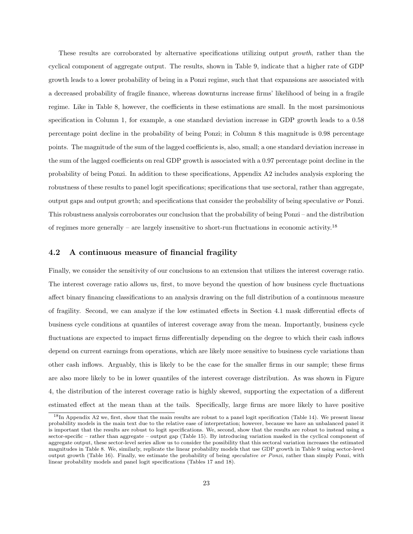These results are corroborated by alternative specifications utilizing output *growth*, rather than the cyclical component of aggregate output. The results, shown in Table 9, indicate that a higher rate of GDP growth leads to a lower probability of being in a Ponzi regime, such that that expansions are associated with a decreased probability of fragile finance, whereas downturns increase firms' likelihood of being in a fragile regime. Like in Table 8, however, the coefficients in these estimations are small. In the most parsimonious specification in Column 1, for example, a one standard deviation increase in GDP growth leads to a 0.58 percentage point decline in the probability of being Ponzi; in Column 8 this magnitude is 0.98 percentage points. The magnitude of the sum of the lagged coefficients is, also, small; a one standard deviation increase in the sum of the lagged coefficients on real GDP growth is associated with a  $0.97$  percentage point decline in the probability of being Ponzi. In addition to these specifications, Appendix A2 includes analysis exploring the robustness of these results to panel logit specifications; specifications that use sectoral, rather than aggregate, output gaps and output growth; and specifications that consider the probability of being speculative *or* Ponzi. This robustness analysis corroborates our conclusion that the probability of being Ponzi – and the distribution of regimes more generally – are largely insensitive to short-run fluctuations in economic activity.<sup>18</sup>

#### 4.2 A continuous measure of financial fragility

Finally, we consider the sensitivity of our conclusions to an extension that utilizes the interest coverage ratio. The interest coverage ratio allows us, first, to move beyond the question of how business cycle fluctuations affect binary financing classifications to an analysis drawing on the full distribution of a continuous measure of fragility. Second, we can analyze if the low estimated effects in Section 4.1 mask differential effects of business cycle conditions at quantiles of interest coverage away from the mean. Importantly, business cycle fluctuations are expected to impact firms differentially depending on the degree to which their cash inflows depend on current earnings from operations, which are likely more sensitive to business cycle variations than other cash inflows. Arguably, this is likely to be the case for the smaller firms in our sample; these firms are also more likely to be in lower quantiles of the interest coverage distribution. As was shown in Figure 4, the distribution of the interest coverage ratio is highly skewed, supporting the expectation of a different estimated effect at the mean than at the tails. Specifically, large firms are more likely to have positive

<sup>18</sup>In Appendix A2 we, first, show that the main results are robust to a panel logit specification (Table 14). We present linear probability models in the main text due to the relative ease of interpretation; however, because we have an unbalanced panel it is important that the results are robust to logit specifications. We, second, show that the results are robust to instead using a sector-specific – rather than aggregate – output gap (Table 15). By introducing variation masked in the cyclical component of aggregate output, these sector-level series allow us to consider the possibility that this sectoral variation increases the estimated magnitudes in Table 8. We, similarly, replicate the linear probability models that use GDP growth in Table 9 using sector-level output growth (Table 16). Finally, we estimate the probability of being *speculative or Ponzi*, rather than simply Ponzi, with linear probability models and panel logit specifications (Tables 17 and 18).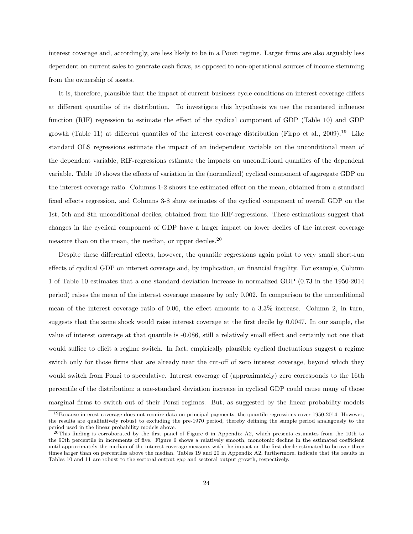interest coverage and, accordingly, are less likely to be in a Ponzi regime. Larger firms are also arguably less dependent on current sales to generate cash flows, as opposed to non-operational sources of income stemming from the ownership of assets.

It is, therefore, plausible that the impact of current business cycle conditions on interest coverage differs at different quantiles of its distribution. To investigate this hypothesis we use the recentered influence function (RIF) regression to estimate the effect of the cyclical component of GDP (Table 10) and GDP growth (Table 11) at different quantiles of the interest coverage distribution (Firpo et al., 2009).<sup>19</sup> Like standard OLS regressions estimate the impact of an independent variable on the unconditional mean of the dependent variable, RIF-regressions estimate the impacts on unconditional quantiles of the dependent variable. Table 10 shows the effects of variation in the (normalized) cyclical component of aggregate GDP on the interest coverage ratio. Columns 1-2 shows the estimated effect on the mean, obtained from a standard fixed effects regression, and Columns 3-8 show estimates of the cyclical component of overall GDP on the 1st, 5th and 8th unconditional deciles, obtained from the RIF-regressions. These estimations suggest that changes in the cyclical component of GDP have a larger impact on lower deciles of the interest coverage measure than on the mean, the median, or upper deciles.<sup>20</sup>

Despite these differential effects, however, the quantile regressions again point to very small short-run effects of cyclical GDP on interest coverage and, by implication, on financial fragility. For example, Column 1 of Table 10 estimates that a one standard deviation increase in normalized GDP (0.73 in the 1950-2014 period) raises the mean of the interest coverage measure by only 0.002. In comparison to the unconditional mean of the interest coverage ratio of  $0.06$ , the effect amounts to a  $3.3\%$  increase. Column 2, in turn, suggests that the same shock would raise interest coverage at the first decile by 0.0047. In our sample, the value of interest coverage at that quantile is  $-0.086$ , still a relatively small effect and certainly not one that would suffice to elicit a regime switch. In fact, empirically plausible cyclical fluctuations suggest a regime switch only for those firms that are already near the cut-off of zero interest coverage, beyond which they would switch from Ponzi to speculative. Interest coverage of (approximately) zero corresponds to the 16th percentile of the distribution; a one-standard deviation increase in cyclical GDP could cause many of those marginal firms to switch out of their Ponzi regimes. But, as suggested by the linear probability models

<sup>19</sup>Because interest coverage does not require data on principal payments, the quantile regressions cover 1950-2014. However, the results are qualitatively robust to excluding the pre-1970 period, thereby defining the sample period analagously to the period used in the linear probability models above.

 $^{20}$ This finding is corroborated by the first panel of Figure 6 in Appendix A2, which presents estimates from the 10th to the 90th percentile in increments of five. Figure 6 shows a relatively smooth, monotonic decline in the estimated coefficient until approximately the median of the interest coverage measure, with the impact on the first decile estimated to be over three times larger than on percentiles above the median. Tables 19 and 20 in Appendix A2, furthermore, indicate that the results in Tables 10 and 11 are robust to the sectoral output gap and sectoral output growth, respectively.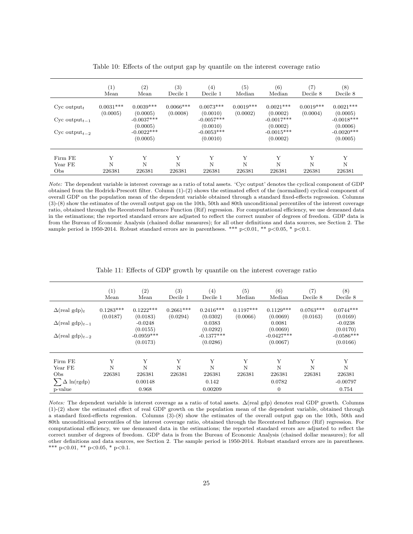|                                                          | $\left(1\right)$<br>Mean | $\left( 2\right)$<br>Mean               | (3)<br>Decile 1         | $^{(4)}$<br>Decile 1                    | $\left( 5\right)$<br>Median | (6)<br>Median                           | (7)<br>Decile 8         | (8)<br>Decile 8                         |
|----------------------------------------------------------|--------------------------|-----------------------------------------|-------------------------|-----------------------------------------|-----------------------------|-----------------------------------------|-------------------------|-----------------------------------------|
| $Cyc$ output <sub>t</sub><br>$Cyc$ output <sub>t-1</sub> | $0.0031***$<br>(0.0005)  | $0.0039***$<br>(0.0005)<br>$-0.0037***$ | $0.0066***$<br>(0.0008) | $0.0073***$<br>(0.0010)<br>$-0.0057***$ | $0.0019***$<br>(0.0002)     | $0.0021***$<br>(0.0002)<br>$-0.0017***$ | $0.0019***$<br>(0.0004) | $0.0021***$<br>(0.0005)<br>$-0.0018***$ |
| $Cyc$ output <sub>t-2</sub>                              |                          | (0.0005)<br>$-0.0022***$<br>(0.0005)    |                         | (0.0010)<br>$-0.0053***$<br>(0.0010)    |                             | (0.0002)<br>$-0.0015***$<br>(0.0002)    |                         | (0.0006)<br>$-0.0020***$<br>(0.0005)    |
| Firm FE                                                  | Y                        | Y                                       | Y                       | Y                                       | Y                           | Y                                       | Y                       | Y                                       |
| Year FE<br>Obs                                           | N<br>226381              | N<br>226381                             | N<br>226381             | N<br>226381                             | N<br>226381                 | N<br>226381                             | N<br>226381             | N<br>226381                             |

Table 10: Effects of the output gap by quantile on the interest coverage ratio

*Note:* The dependent variable is interest coverage as a ratio of total assets. 'Cyc output' denotes the cyclical component of GDP obtained from the Hodrick-Prescott filter. Column  $(1)-(2)$  shows the estimated effect of the (normalized) cyclical component of overall GDP on the population mean of the dependent variable obtained through a standard fixed-effects regression. Columns (3)-(8) show the estimates of the overall output gap on the 10th, 50th and 80th unconditional percentiles of the interest coverage ratio, obtained through the Recentered Influence Function (Rif) regression. For computational efficiency, we use demeaned data in the estimations; the reported standard errors are adjusted to reflect the correct number of degrees of freedom. GDP data is from the Bureau of Economic Analysis (chained dollar measures); for all other definitions and data sources, see Section 2. The sample period is 1950-2014. Robust standard errors are in parentheses. \*\*\* p*<*0.01, \*\* p*<*0.05, \* p*<*0.1.

|                                    | (1)<br>Mean             | (2)<br>Mean              | (3)<br>Decile 1         | (4)<br>Decile 1          | (5)<br>Median           | (6)<br>Median            | $\left( 7\right)$<br>Decile 8 | (8)<br>Decile 8          |
|------------------------------------|-------------------------|--------------------------|-------------------------|--------------------------|-------------------------|--------------------------|-------------------------------|--------------------------|
| $\Delta$ (real gdp) <sub>t</sub>   | $0.1283***$<br>(0.0187) | $0.1222***$<br>(0.0183)  | $0.2661***$<br>(0.0294) | $0.2416***$<br>(0.0302)  | $0.1197***$<br>(0.0066) | $0.1129***$<br>(0.0069)  | $0.0763***$<br>(0.0163)       | $0.0744***$<br>(0.0169)  |
| $\Delta$ (real gdp) <sub>t-1</sub> |                         | $-0.0248$                |                         | 0.0383                   |                         | 0.0081                   |                               | $-0.0238$                |
|                                    |                         | (0.0155)                 |                         | (0.0292)                 |                         | (0.0069)                 |                               | (0.0170)                 |
| $\Delta$ (real gdp) <sub>t-2</sub> |                         | $-0.0959***$<br>(0.0173) |                         | $-0.1377***$<br>(0.0286) |                         | $-0.0427***$<br>(0.0067) |                               | $-0.0586***$<br>(0.0166) |
| Firm FE                            | Y                       | Y                        | Y                       | Y                        | Y                       | Y                        | Y                             | Y                        |
| Year FE                            | N                       | Ν                        | N                       | N                        | N                       | N                        | N                             | N                        |
| Obs                                | 226381                  | 226381                   | 226381                  | 226381                   | 226381                  | 226381                   | 226381                        | 226381                   |
| $\Delta \ln(\text{rgdp})$          |                         | 0.00148                  |                         | 0.142                    |                         | 0.0782                   |                               | $-0.00797$               |
| p-value                            |                         | 0.968                    |                         | 0.00209                  |                         | $\Omega$                 |                               | 0.754                    |

Table 11: Effects of GDP growth by quantile on the interest coverage ratio

*Notes:* The dependent variable is interest coverage as a ratio of total assets.  $\Delta$ (real gdp) denotes real GDP growth. Columns  $(1)-(2)$  show the estimated effect of real GDP growth on the population mean of the dependent variable, obtained through a standard fixed-effects regression. Columns (3)-(8) show the estimates of the overall output gap on the 10th, 50th and 80th unconditional percentiles of the interest coverage ratio, obtained through the Recentered Influence (Rif) regression. For computational efficiency, we use demeaned data in the estimations; the reported standard errors are adjusted to reflect the correct number of degrees of freedom. GDP data is from the Bureau of Economic Analysis (chained dollar measures); for all other definitions and data sources, see Section 2. The sample period is 1950-2014. Robust standard errors are in parentheses. \*\*\* p*<*0.01, \*\* p*<*0.05, \* p*<*0.1.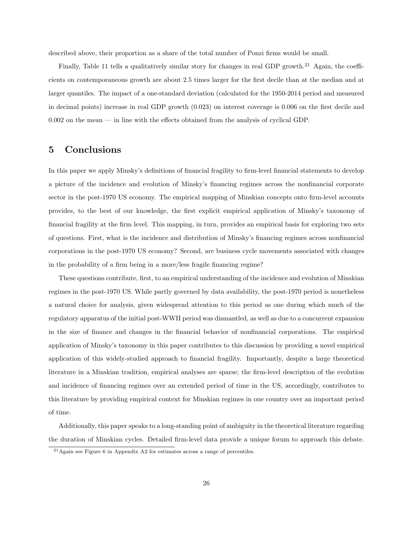described above, their proportion as a share of the total number of Ponzi firms would be small.

Finally, Table 11 tells a qualitatively similar story for changes in real GDP growth.<sup>21</sup> Again, the coefficients on contemporaneous growth are about 2.5 times larger for the first decile than at the median and at larger quantiles. The impact of a one-standard deviation (calculated for the 1950-2014 period and measured in decimal points) increase in real GDP growth (0.023) on interest coverage is 0.006 on the first decile and  $0.002$  on the mean — in line with the effects obtained from the analysis of cyclical GDP.

### 5 Conclusions

In this paper we apply Minsky's definitions of financial fragility to firm-level financial statements to develop a picture of the incidence and evolution of Minsky's financing regimes across the nonfinancial corporate sector in the post-1970 US economy. The empirical mapping of Minskian concepts onto firm-level accounts provides, to the best of our knowledge, the first explicit empirical application of Minsky's taxonomy of financial fragility at the firm level. This mapping, in turn, provides an empirical basis for exploring two sets of questions. First, what is the incidence and distribution of Minsky's financing regimes across nonfinancial corporations in the post-1970 US economy? Second, are business cycle movements associated with changes in the probability of a firm being in a more/less fragile financing regime?

These questions contribute, first, to an empirical understanding of the incidence and evolution of Minskian regimes in the post-1970 US. While partly governed by data availability, the post-1970 period is nonetheless a natural choice for analysis, given widespread attention to this period as one during which much of the regulatory apparatus of the initial post-WWII period was dismantled, as well as due to a concurrent expansion in the size of finance and changes in the financial behavior of nonfinancial corporations. The empirical application of Minsky's taxonomy in this paper contributes to this discussion by providing a novel empirical application of this widely-studied approach to financial fragility. Importantly, despite a large theoretical literature in a Minskian tradition, empirical analyses are sparse; the firm-level description of the evolution and incidence of financing regimes over an extended period of time in the US, accordingly, contributes to this literature by providing empirical context for Minskian regimes in one country over an important period of time.

Additionally, this paper speaks to a long-standing point of ambiguity in the theoretical literature regarding the duration of Minskian cycles. Detailed firm-level data provide a unique forum to approach this debate.

<sup>21</sup>Again see Figure 6 in Appendix A2 for estimates across a range of percentiles.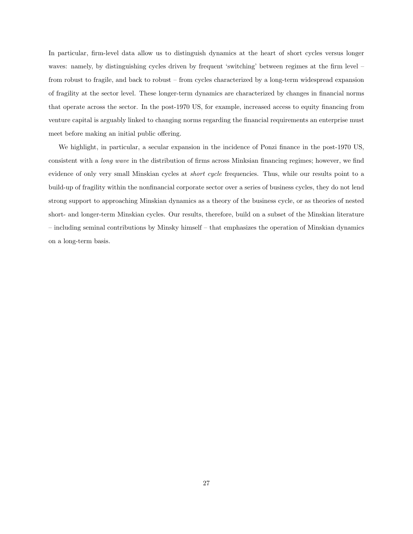In particular, firm-level data allow us to distinguish dynamics at the heart of short cycles versus longer waves: namely, by distinguishing cycles driven by frequent 'switching' between regimes at the firm level – from robust to fragile, and back to robust – from cycles characterized by a long-term widespread expansion of fragility at the sector level. These longer-term dynamics are characterized by changes in financial norms that operate across the sector. In the post-1970 US, for example, increased access to equity financing from venture capital is arguably linked to changing norms regarding the financial requirements an enterprise must meet before making an initial public offering.

We highlight, in particular, a secular expansion in the incidence of Ponzi finance in the post-1970 US, consistent with a *long wave* in the distribution of firms across Minksian financing regimes; however, we find evidence of only very small Minskian cycles at *short cycle* frequencies. Thus, while our results point to a build-up of fragility within the nonfinancial corporate sector over a series of business cycles, they do not lend strong support to approaching Minskian dynamics as a theory of the business cycle, or as theories of nested short- and longer-term Minskian cycles. Our results, therefore, build on a subset of the Minskian literature – including seminal contributions by Minsky himself – that emphasizes the operation of Minskian dynamics on a long-term basis.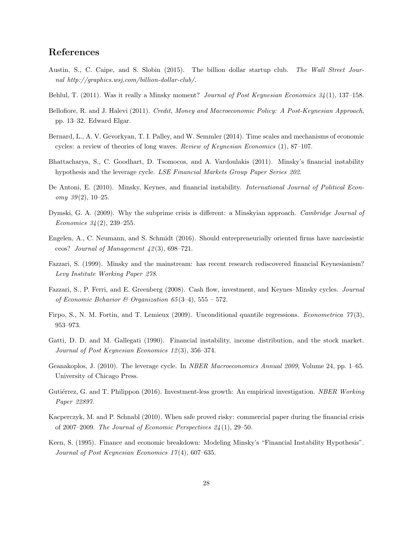### References

- Austin, S., C. Caipe, and S. Slobin (2015). The billion dollar startup club. *The Wall Street Journal http://graphics.wsj.com/billion-dollar-club/*.
- Behlul, T. (2011). Was it really a Minsky moment? *Journal of Post Keynesian Economics 34* (1), 137–158.
- Bellofiore, R. and J. Halevi (2011). *Credit, Money and Macroeconomic Policy: A Post-Keynesian Approach*, pp. 13–32. Edward Elgar.
- Bernard, L., A. V. Gevorkyan, T. I. Palley, and W. Semmler (2014). Time scales and mechanisms of economic cycles: a review of theories of long waves. *Review of Keynesian Economics* (1), 87–107.
- Bhattacharya, S., C. Goodhart, D. Tsomocos, and A. Vardoulakis (2011). Minsky's financial instability hypothesis and the leverage cycle. *LSE Financial Markets Group Paper Series 202*.
- De Antoni, E. (2010). Minsky, Keynes, and financial instability. *International Journal of Political Economy 39* (2), 10–25.
- Dymski, G. A. (2009). Why the subprime crisis is different: a Minskyian approach. *Cambridge Journal of Economics 34* (2), 239–255.
- Engelen, A., C. Neumann, and S. Schmidt (2016). Should entrepreneurially oriented firms have narcissistic ceos? *Journal of Management 42* (3), 698–721.
- Fazzari, S. (1999). Minsky and the mainstream: has recent research rediscovered financial Keynesianism? *Levy Institute Working Paper 278*.
- Fazzari, S., P. Ferri, and E. Greenberg (2008). Cash flow, investment, and Keynes–Minsky cycles. *Journal of Economic Behavior & Organization 65* (3–4), 555 – 572.
- Firpo, S., N. M. Fortin, and T. Lemieux (2009). Unconditional quantile regressions. *Econometrica 77* (3), 953–973.
- Gatti, D. D. and M. Gallegati (1990). Financial instability, income distribution, and the stock market. *Journal of Post Keynesian Economics 12* (3), 356–374.
- Geanakoplos, J. (2010). The leverage cycle. In *NBER Macroeconomics Annual 2009*, Volume 24, pp. 1–65. University of Chicago Press.
- Gutiérrez, G. and T. Philippon (2016). Investment-less growth: An empirical investigation. *NBER Working Paper 22897*.
- Kacperczyk, M. and P. Schnabl (2010). When safe proved risky: commercial paper during the financial crisis of 2007–2009. *The Journal of Economic Perspectives 24* (1), 29–50.
- Keen, S. (1995). Finance and economic breakdown: Modeling Minsky's "Financial Instability Hypothesis". *Journal of Post Keynesian Economics 17* (4), 607–635.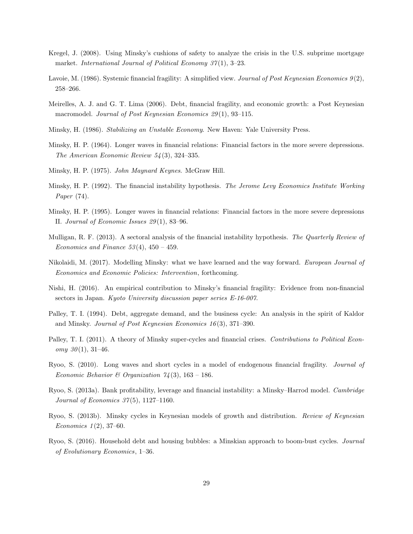- Kregel, J. (2008). Using Minsky's cushions of safety to analyze the crisis in the U.S. subprime mortgage market. *International Journal of Political Economy 37* (1), 3–23.
- Lavoie, M. (1986). Systemic financial fragility: A simplified view. *Journal of Post Keynesian Economics 9* (2), 258–266.
- Meirelles, A. J. and G. T. Lima (2006). Debt, financial fragility, and economic growth: a Post Keynesian macromodel. *Journal of Post Keynesian Economics 29* (1), 93–115.
- Minsky, H. (1986). *Stabilizing an Unstable Economy*. New Haven: Yale University Press.
- Minsky, H. P. (1964). Longer waves in financial relations: Financial factors in the more severe depressions. *The American Economic Review 54* (3), 324–335.
- Minsky, H. P. (1975). *John Maynard Keynes*. McGraw Hill.
- Minsky, H. P. (1992). The financial instability hypothesis. *The Jerome Levy Economics Institute Working Paper* (74).
- Minsky, H. P. (1995). Longer waves in financial relations: Financial factors in the more severe depressions II. *Journal of Economic Issues 29* (1), 83–96.
- Mulligan, R. F. (2013). A sectoral analysis of the financial instability hypothesis. *The Quarterly Review of Economics and Finance 53* (4), 450 – 459.
- Nikolaidi, M. (2017). Modelling Minsky: what we have learned and the way forward. *European Journal of Economics and Economic Policies: Intervention*, forthcoming.
- Nishi, H. (2016). An empirical contribution to Minsky's financial fragility: Evidence from non-financial sectors in Japan. *Kyoto University discussion paper series E-16-007*.
- Palley, T. I. (1994). Debt, aggregate demand, and the business cycle: An analysis in the spirit of Kaldor and Minsky. *Journal of Post Keynesian Economics 16* (3), 371–390.
- Palley, T. I. (2011). A theory of Minsky super-cycles and financial crises. *Contributions to Political Economy 30* (1), 31–46.
- Ryoo, S. (2010). Long waves and short cycles in a model of endogenous financial fragility. *Journal of Economic Behavior & Organization 74* (3), 163 – 186.
- Ryoo, S. (2013a). Bank profitability, leverage and financial instability: a Minsky–Harrod model. *Cambridge Journal of Economics 37* (5), 1127–1160.
- Ryoo, S. (2013b). Minsky cycles in Keynesian models of growth and distribution. *Review of Keynesian Economics 1* (2), 37–60.
- Ryoo, S. (2016). Household debt and housing bubbles: a Minskian approach to boom-bust cycles. *Journal of Evolutionary Economics*, 1–36.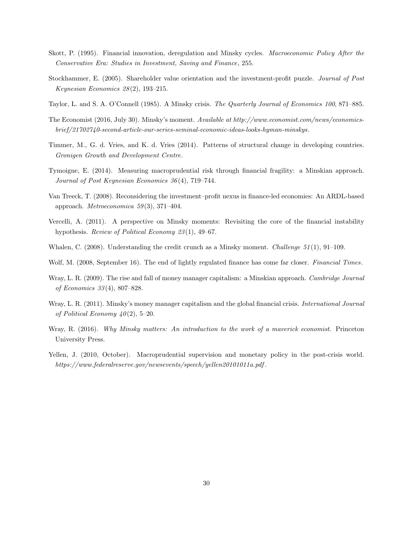- Skott, P. (1995). Financial innovation, deregulation and Minsky cycles. *Macroeconomic Policy After the Conservative Era: Studies in Investment, Saving and Finance*, 255.
- Stockhammer, E. (2005). Shareholder value orientation and the investment-profit puzzle. *Journal of Post Keynesian Economics 28* (2), 193–215.
- Taylor, L. and S. A. O'Connell (1985). A Minsky crisis. *The Quarterly Journal of Economics 100*, 871–885.
- The Economist (2016, July 30). Minsky's moment. *Available at http://www.economist.com/news/economicsbrief/21702740-second-article-our-series-seminal-economic-ideas-looks-hyman-minskys*.
- Timmer, M., G. d. Vries, and K. d. Vries (2014). Patterns of structural change in developing countries. *Gronigen Growth and Development Centre*.
- Tymoigne, E. (2014). Measuring macroprudential risk through financial fragility: a Minskian approach. *Journal of Post Keynesian Economics 36* (4), 719–744.
- Van Treeck, T. (2008). Reconsidering the investment–profit nexus in finance-led economies: An ARDL-based approach. *Metroeconomica 59* (3), 371–404.
- Vercelli, A. (2011). A perspective on Minsky moments: Revisiting the core of the financial instability hypothesis. *Review of Political Economy 23* (1), 49–67.
- Whalen, C. (2008). Understanding the credit crunch as a Minsky moment. *Challenge 51* (1), 91–109.
- Wolf, M. (2008, September 16). The end of lightly regulated finance has come far closer. *Financial Times*.
- Wray, L. R. (2009). The rise and fall of money manager capitalism: a Minskian approach. *Cambridge Journal of Economics 33* (4), 807–828.
- Wray, L. R. (2011). Minsky's money manager capitalism and the global financial crisis. *International Journal of Political Economy 40* (2), 5–20.
- Wray, R. (2016). *Why Minsky matters: An introduction to the work of a maverick economist*. Princeton University Press.
- Yellen, J. (2010, October). Macroprudential supervision and monetary policy in the post-crisis world. *https://www.federalreserve.gov/newsevents/speech/yellen20101011a.pdf* .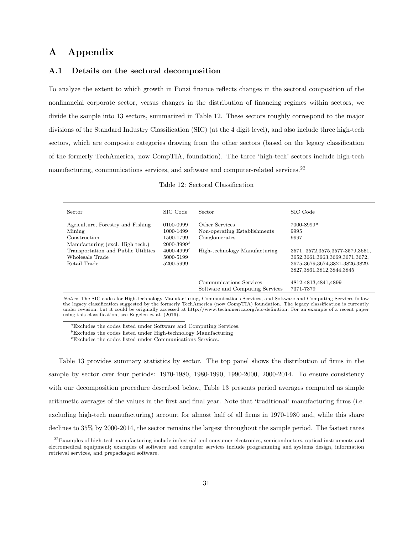#### A Appendix

#### A.1 Details on the sectoral decomposition

To analyze the extent to which growth in Ponzi finance reflects changes in the sectoral composition of the nonfinancial corporate sector, versus changes in the distribution of financing regimes within sectors, we divide the sample into 13 sectors, summarized in Table 12. These sectors roughly correspond to the major divisions of the Standard Industry Classification (SIC) (at the 4 digit level), and also include three high-tech sectors, which are composite categories drawing from the other sectors (based on the legacy classification of the formerly TechAmerica, now CompTIA, foundation). The three 'high-tech' sectors include high-tech manufacturing, communications services, and software and computer-related services.<sup>22</sup>

|  |  | Table 12: Sectoral Classification |
|--|--|-----------------------------------|
|--|--|-----------------------------------|

| Sector                                                                                          | SIC Code                                                          | Sector                                                          | SIC Code                                                                                                                                       |
|-------------------------------------------------------------------------------------------------|-------------------------------------------------------------------|-----------------------------------------------------------------|------------------------------------------------------------------------------------------------------------------------------------------------|
| Agriculture, Forestry and Fishing<br>Mining<br>Construction<br>Manufacturing (excl. High tech.) | 0100-0999<br>1000-1499<br>1500-1799<br>$2000 - 3999$ <sup>b</sup> | Other Services<br>Non-operating Establishments<br>Conglomerates | $7000 - 8999^{\circ}$<br>9995<br>9997                                                                                                          |
| Transportation and Public Utilities<br>Wholesale Trade<br>Retail Trade                          | $4000 - 4999c$<br>5000-5199<br>5200-5999                          | High-technology Manufacturing                                   | 3571, 3572, 3575, 3577-3579, 3651,<br>3652, 3661, 3663, 3669, 3671, 3672,<br>3675-3679, 3674, 3821-3826, 3829,<br>3827, 3861, 3812, 3844, 3845 |
|                                                                                                 |                                                                   | Communications Services<br>Software and Computing Services      | 4812-4813,4841,4899<br>7371-7379                                                                                                               |

*Notes*: The SIC codes for High-technology Manufacturing, Communications Services, and Software and Computing Services follow the legacy classification suggested by the formerly TechAmerica (now CompTIA) foundation. The legacy classification is currently under revision, but it could be originally accessed at http://www.techamerica.org/sic-definition. For an example of a recent paper using this classification, see Engelen et al. (2016).

*<sup>a</sup>*Excludes the codes listed under Software and Computing Services.

*<sup>b</sup>*Excludes the codes listed under High-technology Manufacturing

*<sup>c</sup>*Excludes the codes listed under Communications Services.

Table 13 provides summary statistics by sector. The top panel shows the distribution of firms in the sample by sector over four periods: 1970-1980, 1980-1990, 1990-2000, 2000-2014. To ensure consistency with our decomposition procedure described below, Table 13 presents period averages computed as simple arithmetic averages of the values in the first and final year. Note that 'traditional' manufacturing firms (i.e. excluding high-tech manufacturing) account for almost half of all firms in 1970-1980 and, while this share declines to 35% by 2000-2014, the sector remains the largest throughout the sample period. The fastest rates

 $^{22}$ Examples of high-tech manufacturing include industrial and consumer electronics, semiconductors, optical instruments and elctromedical equipment; examples of software and computer services include programming and systems design, information retrieval services, and prepackaged software.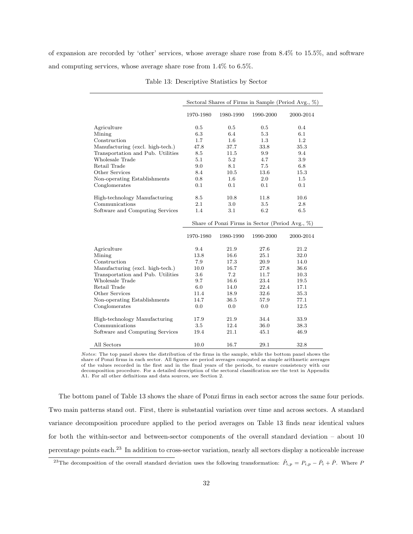of expansion are recorded by 'other' services, whose average share rose from 8.4% to 15.5%, and software and computing services, whose average share rose from 1.4% to 6.5%.

|                                   |           |           |                                                              | Sectoral Shares of Firms in Sample (Period Avg., $\%$ ) |
|-----------------------------------|-----------|-----------|--------------------------------------------------------------|---------------------------------------------------------|
|                                   | 1970-1980 | 1980-1990 | 1990-2000                                                    | 2000-2014                                               |
| Agriculture                       | 0.5       | 0.5       | 0.5                                                          | 0.4                                                     |
| Mining                            | 6.3       | 6.4       | 5.3                                                          | 6.1                                                     |
| Construction                      | 1.7       | 1.6       | $1.3\,$                                                      | 1.2                                                     |
| Manufacturing (excl. high-tech.)  | 47.8      | 37.7      | 33.8                                                         | 35.3                                                    |
| Transportation and Pub. Utilities | 8.5       | 11.5      | 9.9                                                          | 9.4                                                     |
| Wholesale Trade                   | 5.1       | 5.2       | 4.7                                                          | 3.9                                                     |
| Retail Trade                      | 9.0       | 8.1       | 7.5                                                          | 6.8                                                     |
| Other Services                    | 8.4       | 10.5      | 13.6                                                         | 15.3                                                    |
| Non-operating Establishments      | 0.8       | 1.6       | 2.0                                                          | 1.5                                                     |
| Conglomerates                     | 0.1       | 0.1       | 0.1                                                          | 0.1                                                     |
|                                   |           |           |                                                              |                                                         |
| High-technology Manufacturing     | 8.5       | 10.8      | 11.8                                                         | 10.6                                                    |
| Communications                    | 2.1       | 3.0       | 3.5                                                          | 2.8                                                     |
| Software and Computing Services   | 1.4       | 3.1       | 6.2                                                          | 6.5                                                     |
|                                   | 1970-1980 | 1980-1990 | Share of Ponzi Firms in Sector (Period Avg., %)<br>1990-2000 | 2000-2014                                               |
|                                   |           |           |                                                              |                                                         |
| Agriculture                       | 9.4       | 21.9      | 27.6                                                         | 21.2                                                    |
| Mining                            | 13.8      | 16.6      | 25.1                                                         | 32.0                                                    |
| Construction                      | 7.9       | 17.3      | 20.9                                                         | 14.0                                                    |
| Manufacturing (excl. high-tech.)  | 10.0      | 16.7      | 27.8                                                         | 36.6                                                    |
| Transportation and Pub. Utilities | 3.6       | 7.2       | 11.7                                                         | 10.3                                                    |
| Wholesale Trade                   | 9.7       | 16.6      | 23.4                                                         | 19.5                                                    |
| Retail Trade                      | 6.0       | 14.0      | 22.4                                                         | 17.1                                                    |
| Other Services                    | 11.4      | 18.9      | 32.6                                                         | 35.3                                                    |
| Non-operating Establishments      | 14.7      | 36.5      | 57.9                                                         | 77.1                                                    |
| Conglomerates                     | 0.0       | 0.0       | 0.0                                                          | 12.5                                                    |
| High-technology Manufacturing     | 17.9      | 21.9      | 34.4                                                         | 33.9                                                    |
| Communications                    | 3.5       | 12.4      | 36.0                                                         | 38.3                                                    |
| Software and Computing Services   | 19.4      | 21.1      | 45.1                                                         | 46.9                                                    |
| All Sectors                       | 10.0      | 16.7      | 29.1                                                         | 32.8                                                    |

|  | Table 13: Descriptive Statistics by Sector |  |  |  |
|--|--------------------------------------------|--|--|--|
|--|--------------------------------------------|--|--|--|

*Notes*: The top panel shows the distribution of the firms in the sample, while the bottom panel shows the share of Ponzi firms in each sector. All figures are period averages computed as simple arithmetic averages of the values recorded in the first and in the final years of the periods, to ensure consistency with our decomposition procedure. For a detailed description of the sectoral classification see the text in Appendix A1. For all other definitions and data sources, see Section 2.

The bottom panel of Table 13 shows the share of Ponzi firms in each sector across the same four periods. Two main patterns stand out. First, there is substantial variation over time and across sectors. A standard variance decomposition procedure applied to the period averages on Table 13 finds near identical values for both the within-sector and between-sector components of the overall standard deviation – about 10 percentage points each.<sup>23</sup> In addition to cross-sector variation, nearly all sectors display a noticeable increase

<sup>&</sup>lt;sup>23</sup>The decomposition of the overall standard deviation uses the following transformation:  $\tilde{P}_{i,p} = P_{i,p} - \bar{P}_i + \bar{P}$ . Where *P*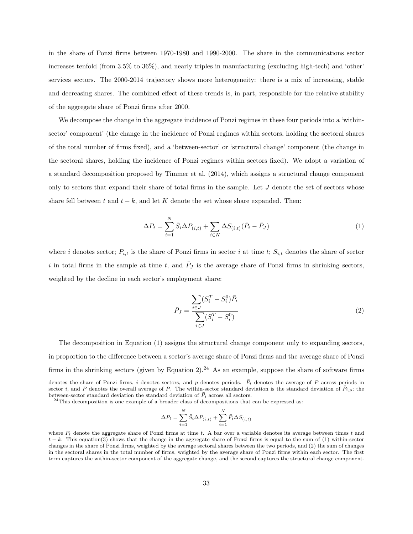in the share of Ponzi firms between 1970-1980 and 1990-2000. The share in the communications sector increases tenfold (from 3.5% to 36%), and nearly triples in manufacturing (excluding high-tech) and 'other' services sectors. The 2000-2014 trajectory shows more heterogeneity: there is a mix of increasing, stable and decreasing shares. The combined effect of these trends is, in part, responsible for the relative stability of the aggregate share of Ponzi firms after 2000.

We decompose the change in the aggregate incidence of Ponzi regimes in these four periods into a 'withinsector' component' (the change in the incidence of Ponzi regimes within sectors, holding the sectoral shares of the total number of firms fixed), and a 'between-sector' or 'structural change' component (the change in the sectoral shares, holding the incidence of Ponzi regimes within sectors fixed). We adopt a variation of a standard decomposition proposed by Timmer et al. (2014), which assigns a structural change component only to sectors that expand their share of total firms in the sample. Let *J* denote the set of sectors whose share fell between  $t$  and  $t - k$ , and let  $K$  denote the set whose share expanded. Then:

$$
\Delta P_t = \sum_{i=1}^{N} \bar{S}_i \Delta P_{(i,t)} + \sum_{i \in K} \Delta S_{(i,t)} (\bar{P}_i - \bar{P}_J)
$$
(1)

where *i* denotes sector;  $P_{i,t}$  is the share of Ponzi firms in sector *i* at time *t*;  $S_{i,t}$  denotes the share of sector  $i$  in total firms in the sample at time  $t$ , and  $P_J$  is the average share of Ponzi firms in shrinking sectors, weighted by the decline in each sector's employment share:

$$
\bar{P}_J = \frac{\sum_{i \in J} (S_i^T - S_i^0) \bar{P}_i}{\sum_{i \in J} (S_i^T - S_i^0)}
$$
\n(2)

The decomposition in Equation (1) assigns the structural change component only to expanding sectors, in proportion to the difference between a sector's average share of Ponzi firms and the average share of Ponzi firms in the shrinking sectors (given by Equation 2).<sup>24</sup> As an example, suppose the share of software firms

$$
\Delta P_t = \sum_{i=1}^N \bar{S}_i \Delta P_{(i,t)} + \sum_{i=1}^N \bar{P}_i \Delta S_{(i,t)}
$$

denotes the share of Ponzi firms, *i* denotes sectors, and *p* denotes periods.  $\bar{P}_i$  denotes the average of *P* across periods in sector *i*, and  $\bar{P}$  denotes the overall average of *P*. The within-sector standard deviation is the standard deviation of  $\tilde{P}_i$ , the between-sector standard deviation the standard deviation of  $\bar{P}_i$  across all

 $^{24}$ This decomposition is one example of a broader class of decompositions that can be expressed as:

where  $P_t$  denote the aggregate share of Ponzi firms at time  $t$ . A bar over a variable denotes its average between times  $t$  and  $t - k$ . This equation(3) shows that the change in the aggregate share of Ponzi firms is equal to the sum of (1) within-sector changes in the share of Ponzi firms, weighted by the average sectoral shares between the two periods, and (2) the sum of changes in the sectoral shares in the total number of firms, weighted by the average share of Ponzi firms within each sector. The first term captures the within-sector component of the aggregate change, and the second captures the structural change component.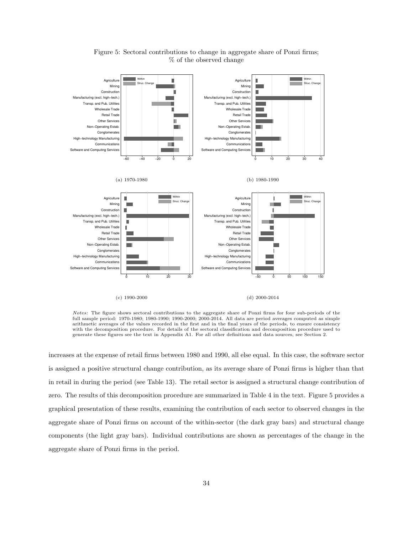

Figure 5: Sectoral contributions to change in aggregate share of Ponzi firms; % of the observed change

*Notes:* The figure shows sectoral contributions to the aggregate share of Ponzi firms for four sub-periods of the full sample period: 1970-1980; 1980-1990; 1990-2000; 2000-2014. All data are period averages computed as simple arithmetic averages of the values recorded in the first and in the final years of the periods, to ensure consistency with the decomposition procedure. For details of the sectoral classification and decomposition procedure used to generate these figures see the text in Appendix A1. For all other definitions and data sources, see Section 2.

increases at the expense of retail firms between 1980 and 1990, all else equal. In this case, the software sector is assigned a positive structural change contribution, as its average share of Ponzi firms is higher than that in retail in during the period (see Table 13). The retail sector is assigned a structural change contribution of zero. The results of this decomposition procedure are summarized in Table 4 in the text. Figure 5 provides a graphical presentation of these results, examining the contribution of each sector to observed changes in the aggregate share of Ponzi firms on account of the within-sector (the dark gray bars) and structural change components (the light gray bars). Individual contributions are shown as percentages of the change in the aggregate share of Ponzi firms in the period.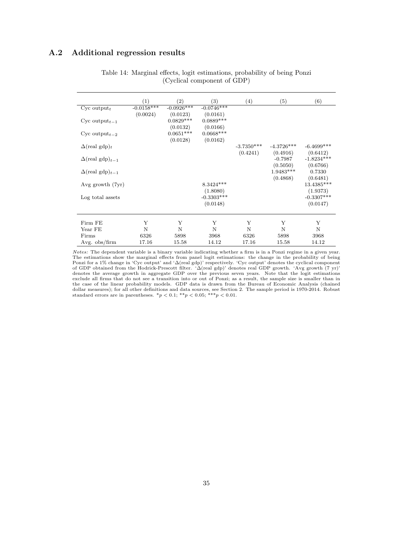#### A.2 Additional regression results

|                                    | (1)          | (2)                                 | (3)                                  | (4)                      | (5)                      | (6)                                  |
|------------------------------------|--------------|-------------------------------------|--------------------------------------|--------------------------|--------------------------|--------------------------------------|
| $Cyc$ output <sub>t</sub>          | $-0.0158***$ | $-0.0926***$                        | $-0.0746***$                         |                          |                          |                                      |
| Cyc output <sub>t-1</sub>          | (0.0024)     | (0.0123)<br>$0.0829***$<br>(0.0132) | (0.0161)<br>$0.0889***$<br>(0.0166)  |                          |                          |                                      |
| Cyc output <sub>t-2</sub>          |              | $0.0651***$<br>(0.0128)             | $0.0668***$<br>(0.0162)              |                          |                          |                                      |
| $\Delta$ (real gdp) <sub>t</sub>   |              |                                     |                                      | $-3.7350***$<br>(0.4241) | $-4.3726***$<br>(0.4916) | $-6.4699***$<br>(0.6412)             |
| $\Delta$ (real gdp) <sub>t-1</sub> |              |                                     |                                      |                          | $-0.7987$<br>(0.5050)    | $-1.8234***$<br>(0.6766)             |
| $\Delta$ (real gdp) <sub>t-1</sub> |              |                                     |                                      |                          | $1.9483***$<br>(0.4868)  | 0.7330<br>(0.6481)                   |
| Avg growth (7yr)                   |              |                                     | $8.3424***$                          |                          |                          | 13.4385***                           |
| Log total assets                   |              |                                     | (1.8080)<br>$-0.3303***$<br>(0.0148) |                          |                          | (1.9373)<br>$-0.3307***$<br>(0.0147) |
| Firm FE                            | Y            | Y                                   | Y                                    | Y                        | Y                        | Y                                    |
| Year FE                            | N            | N                                   | N                                    | N                        | N                        | $\mathbf N$                          |
| Firms                              | 6326         | 5898                                | 3968                                 | 6326                     | 5898                     | 3968                                 |
| Avg. $obs/firm$                    | 17.16        | 15.58                               | 14.12                                | 17.16                    | 15.58                    | 14.12                                |

Table 14: Marginal effects, logit estimations, probability of being Ponzi (Cyclical component of GDP)

*Notes:* The dependent variable is a binary variable indicating whether a firm is in a Ponzi regime in a given year. The estimations show the marginal effects from panel logit estimations: the change in the probability of being Ponzi for a 1% change in 'Cyc output' and ' $\Delta$ (real gdp)' respectively. 'Cyc output' denotes the cyclical component<br>of GDP obtained from the Hodrick-Prescott filter. ' $\Delta$ (real gdp)' denotes real GDP growth. 'Avg growth ( denotes the average growth in aggregate GDP over the previous seven years. Note that the logit estimations exclude all firms that do not see a transition into or out of Ponzi; as a result, the sample size is smaller than in the case of the linear probability models. GDP data is drawn from the Bureau of Economic Analysis (chained dollar measures); for all other definitions and data sources, see Section 2. The sample period is 1970-2014. Robust standard errors are in parentheses.  $*_p$  < 0.1;  $*_p$  < 0.05;  $**_p$  < 0.01.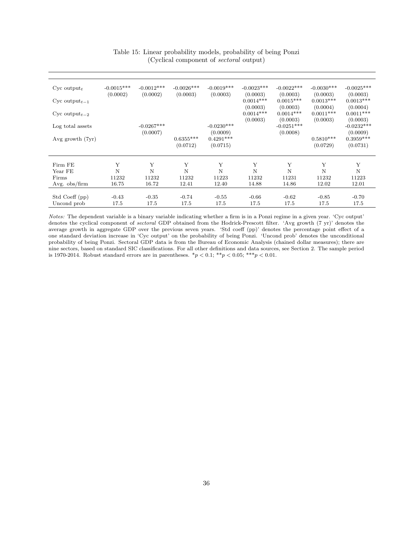| $Cyc$ output <sub>t</sub>   | $-0.0015***$<br>(0.0002) | $-0.0012***$<br>(0.0002) | $-0.0026***$<br>(0.0003) | $-0.0019***$<br>(0.0003) | $-0.0023***$<br>(0.0003) | $-0.0022***$<br>(0.0003) | $-0.0030***$<br>(0.0003) | $-0.0025***$<br>(0.0003) |
|-----------------------------|--------------------------|--------------------------|--------------------------|--------------------------|--------------------------|--------------------------|--------------------------|--------------------------|
| $Cyc$ output <sub>t-1</sub> |                          |                          |                          |                          | $0.0014***$              | $0.0015***$              | $0.0013***$              | $0.0013***$              |
| Cyc output <sub>t-2</sub>   |                          |                          |                          |                          | (0.0003)<br>$0.0014***$  | (0.0003)<br>$0.0014***$  | (0.0004)<br>$0.0011***$  | (0.0004)<br>$0.0011***$  |
| Log total assets            |                          | $-0.0267***$             |                          | $-0.0230***$             | (0.0003)                 | (0.0003)<br>$-0.0251***$ | (0.0003)                 | (0.0003)<br>$-0.0232***$ |
| Avg growth (7yr)            |                          | (0.0007)                 | $0.6355***$              | (0.0009)<br>$0.4291***$  |                          | (0.0008)                 | $0.5810***$              | (0.0009)<br>$0.3959***$  |
|                             |                          |                          | (0.0712)                 | (0.0715)                 |                          |                          | (0.0729)                 | (0.0731)                 |
| Firm FE                     | Y                        | Y                        | Y                        | Y                        | Y                        | Y                        | Y                        | Y                        |
| Year FE                     | N                        | N                        | N                        | N                        | N                        | N                        | N                        | $\mathbf N$              |
| Firms                       | 11232                    | 11232                    | 11232                    | 11223                    | 11232                    | 11231                    | 11232                    | 11223                    |
| Avg. $obs/firm$             | 16.75                    | 16.72                    | 12.41                    | 12.40                    | 14.88                    | 14.86                    | 12.02                    | 12.01                    |
|                             |                          |                          |                          |                          |                          |                          |                          |                          |
| Std Coeff (pp)              | $-0.43$                  | $-0.35$                  | $-0.74$                  | $-0.55$                  | $-0.66$                  | $-0.62$                  | $-0.85$                  | $-0.70$                  |
| Uncond prob                 | 17.5                     | 17.5                     | 17.5                     | 17.5                     | 17.5                     | 17.5                     | 17.5                     | 17.5                     |

Table 15: Linear probability models, probability of being Ponzi (Cyclical component of *sectoral* output)

*Notes:* The dependent variable is a binary variable indicating whether a firm is in a Ponzi regime in a given year. 'Cyc output' denotes the cyclical component of *sectoral* GDP obtained from the Hodrick-Prescott filter. 'Avg growth (7 yr)' denotes the average growth in aggregate GDP over the previous seven years. 'Std coeff (pp)' denotes the percentage point effect of a one standard deviation increase in 'Cyc output' on the probability of being Ponzi. 'Uncond prob' denotes the unconditional probability of being Ponzi. Sectoral GDP data is from the Bureau of Economic Analysis (chained dollar measures); there are nine sectors, based on standard SIC classifications. For all other definitions and data sources, see Section 2. The sample period is 1970-2014. Robust standard errors are in parentheses.  $*p < 0.1$ ;  $**p < 0.05$ ;  $***p < 0.01$ .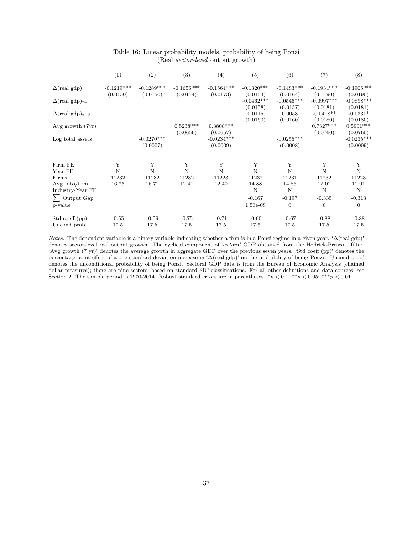|                                    | $\left( 1\right)$        | $\left( 2\right)$        | (3)                      | (4)                                  | (5)                            | (6)                            | (7)                                 | (8)                                  |
|------------------------------------|--------------------------|--------------------------|--------------------------|--------------------------------------|--------------------------------|--------------------------------|-------------------------------------|--------------------------------------|
| $\Delta$ (real gdp) <sub>t</sub>   | $-0.1219***$<br>(0.0150) | $-0.1289***$<br>(0.0150) | $-0.1656***$<br>(0.0174) | $-0.1564***$<br>(0.0173)             | $-0.1320***$<br>(0.0164)       | $-0.1483***$<br>(0.0164)       | $-0.1934***$<br>(0.0190)            | $-0.1905***$<br>(0.0190)             |
| $\Delta(\text{real gdp})_{t-1}$    |                          |                          |                          |                                      | $-0.0462***$                   | $-0.0546***$                   | $-0.0997***$                        | $-0.0898***$                         |
| $\Delta$ (real gdp) <sub>t-2</sub> |                          |                          |                          |                                      | (0.0158)<br>0.0115<br>(0.0160) | (0.0157)<br>0.0058<br>(0.0160) | (0.0181)<br>$-0.0418**$<br>(0.0180) | (0.0181)<br>$-0.0331*$<br>(0.0180)   |
| Avg growth (7yr)                   |                          |                          | $0.5238***$              | $0.3808***$                          |                                |                                | $0.7327***$                         | $0.5901***$                          |
| Log total assets                   |                          | $-0.0270***$<br>(0.0007) | (0.0656)                 | (0.0657)<br>$-0.0234***$<br>(0.0009) |                                | $-0.0255^{***}\,$<br>(0.0008)  | (0.0760)                            | (0.0760)<br>$-0.0235***$<br>(0.0009) |
| Firm FE                            | Y                        | Y                        | Y                        | Y                                    | Y                              | Y                              | Y                                   | Y                                    |
| Year FE                            | N                        | N                        | N                        | N                                    | N                              | N                              | N                                   | N                                    |
| Firms                              | 11232                    | 11232                    | 11232                    | 11223                                | 11232                          | 11231                          | 11232                               | 11223                                |
| Avg. $obs/firm$                    | 16.75                    | 16.72                    | 12.41                    | 12.40                                | 14.88                          | 14.86                          | 12.02                               | 12.01                                |
| Industry-Year FE                   |                          |                          |                          |                                      | N                              | N                              | N                                   | $\rm N$                              |
| Output Gap                         |                          |                          |                          |                                      | $-0.167$                       | $-0.197$                       | $-0.335$                            | $-0.313$                             |
| p-value                            |                          |                          |                          |                                      | 1.56e-08                       | $\mathbf{0}$                   | $\overline{0}$                      | $\mathbf{0}$                         |
|                                    |                          |                          |                          |                                      |                                |                                |                                     |                                      |
| Std coeff (pp)                     | $-0.55$                  | $-0.59$                  | $-0.75$                  | $-0.71$                              | $-0.60$                        | $-0.67$                        | $-0.88$                             | $-0.88$                              |
| Uncond prob                        | 17.5                     | 17.5                     | 17.5                     | 17.5                                 | 17.5                           | 17.5                           | 17.5                                | 17.5                                 |

#### Table 16: Linear probability models, probability of being Ponzi (Real *sector-level* output growth)

*Notes:* The dependent variable is a binary variable indicating whether a firm is in a Ponzi regime in a given year. ' $\Delta$ (real gdp)' denotes sector-level real output growth. The cyclical component of *sectoral* GDP obtained from the Hodrick-Prescott filter. 'Avg growth (7 yr)' denotes the average growth in aggregate GDP over the previous seven years. 'Std coeff (pp)' denotes the percentage point effect of a one standard deviation increase in ' $\Delta$ (real gdp)' on the probability of being Ponzi. 'Uncond prob' denotes the unconditional probability of being Ponzi. Sectoral GDP data is from the Bureau of Economic Analysis (chained dollar measures); there are nine sectors, based on standard SIC classifications. For all other definitions and data sources, see Section 2. The sample period is 1970-2014. Robust standard errors are in parentheses.  $*_p$  < 0.1;  $*_p$  < 0.05;  $^{**p}$  < 0.01.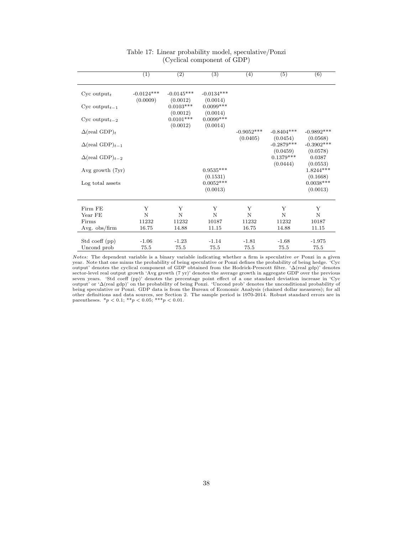|                                    | $\overline{(1)}$ | $\overline{(2)}$                    | $\overline{(3)}$                    | (4)          | $\overline{(5)}$                     | $\overline{(6)}$                     |
|------------------------------------|------------------|-------------------------------------|-------------------------------------|--------------|--------------------------------------|--------------------------------------|
| $Cyc$ output <sub>t</sub>          | $-0.0124***$     | $-0.0145***$                        | $-0.0134***$                        |              |                                      |                                      |
| Cyc output <sub>t-1</sub>          | (0.0009)         | (0.0012)<br>$0.0103***$             | (0.0014)<br>$0.0099***$             |              |                                      |                                      |
| Cyc output <sub>t-2</sub>          |                  | (0.0012)<br>$0.0101***$<br>(0.0012) | (0.0014)<br>$0.0099***$<br>(0.0014) |              |                                      |                                      |
| $\Delta$ (real GDP) <sub>t</sub>   |                  |                                     |                                     | $-0.9052***$ | $-0.8404***$                         | $-0.9892***$                         |
| $\Delta$ (real GDP) <sub>t-1</sub> |                  |                                     |                                     | (0.0405)     | (0.0454)<br>$-0.2879***$<br>(0.0459) | (0.0568)<br>$-0.3902***$<br>(0.0578) |
| $\Delta$ (real GDP) <sub>t-2</sub> |                  |                                     |                                     |              | $0.1379***$                          | 0.0387                               |
| Avg growth $(7yr)$                 |                  |                                     | $0.9535***$<br>(0.1531)             |              | (0.0444)                             | (0.0553)<br>$1.8244***$<br>(0.1668)  |
| Log total assets                   |                  |                                     | $0.0052***$<br>(0.0013)             |              |                                      | $0.0038***$<br>(0.0013)              |
| Firm FE                            | Υ                | Y                                   | Y                                   | Y            | Y                                    | Y                                    |
| Year FE                            | N                | N                                   | N                                   | N            | N                                    | N                                    |
| Firms                              | 11232            | 11232                               | 10187                               | 11232        | 11232                                | 10187                                |
| Avg. obs/firm                      | 16.75            | 14.88                               | 11.15                               | 16.75        | 14.88                                | 11.15                                |
| Std coeff (pp)                     | $-1.06$          | $-1.23$                             | $-1.14$                             | $-1.81$      | $-1.68$                              | $-1.975$                             |
| Uncond prob                        | 75.5             | 75.5                                | 75.5                                | 75.5         | 75.5                                 | 75.5                                 |

#### Table 17: Linear probability model, speculative/Ponzi (Cyclical component of GDP)

*Notes:* The dependent variable is a binary variable indicating whether a firm is speculative or Ponzi in a given<br>year. Note that one minus the probability of being speculative or Ponzi defines the probability of being he output' or ' $\Delta$ (real gdp)' on the probability of being Ponzi. 'Uncond prob' denotes the unconditional probability of being speculative or Ponzi. GDP data is from the Bureau of Economic Analysis (chained dollar measures);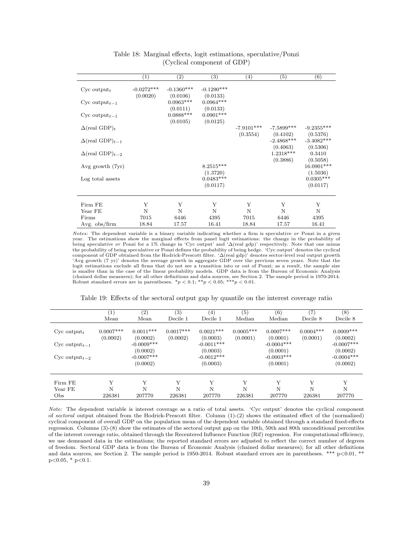|                                    | $\left(1\right)$         | $\left( 2\right)$        | $^{(3)}$                 | $\left( 4\right)$        | (5)                      | $\overline{(6)}$                     |
|------------------------------------|--------------------------|--------------------------|--------------------------|--------------------------|--------------------------|--------------------------------------|
| $Cyc$ output <sub>t</sub>          | $-0.0272***$<br>(0.0020) | $-0.1360***$<br>(0.0106) | $-0.1290***$<br>(0.0133) |                          |                          |                                      |
| Cyc output <sub>t-1</sub>          |                          | $0.0963***$<br>(0.0111)  | $0.0964***$<br>(0.0133)  |                          |                          |                                      |
| Cyc output <sub>t-1</sub>          |                          | $0.0888***$<br>(0.0105)  | $0.0901***$<br>(0.0125)  |                          |                          |                                      |
| $\Delta$ (real GDP) <sub>t</sub>   |                          |                          |                          | $-7.9101***$<br>(0.3554) | $-7.5899***$<br>(0.4102) | $-9.2355***$<br>(0.5376)             |
| $\Delta$ (real GDP) <sub>t-1</sub> |                          |                          |                          |                          | $-2.4868***$             | $-3.4082***$                         |
| $\Delta$ (real GDP) <sub>t-2</sub> |                          |                          |                          |                          | (0.4063)<br>1.2318***    | (0.5306)<br>0.3410                   |
| Avg growth $(7yr)$                 |                          |                          | $8.2515***$<br>(1.3720)  |                          | (0.3886)                 | (0.5058)<br>$16.0901***$<br>(1.5036) |
| Log total assets                   |                          |                          | $0.0483***$<br>(0.0117)  |                          |                          | $0.0305***$<br>(0.0117)              |
|                                    |                          |                          |                          |                          |                          |                                      |
| Firm FE                            | Y                        | Y                        | Y                        | Y                        | Y                        | Y                                    |
| Year FE                            | N                        | $\mathbf N$              | $\mathbf N$              | $\mathbf N$              | N                        | $\mathbf N$                          |
| Firms                              | 7015                     | 6446                     | 4395                     | 7015                     | 6446                     | 4395                                 |
| Avg. obs/firm                      | 18.84                    | 17.57                    | 16.41                    | 18.84                    | 17.57                    | 16.41                                |

Table 18: Marginal effects, logit estimations, speculative/Ponzi (Cyclical component of GDP)

*Notes:* The dependent variable is a binary variable indicating whether a firm is speculative *or* Ponzi in a given year. The estimations show the marginal effects from panel logit estimations: the change in the probability of<br>being speculative or Ponzi for a 1% change in 'Cyc output' and ' $\Delta$ (real gdp)' respectively. Note that one mi the probability of being speculative or Ponzi defines the probability of being hedge. 'Cyc output' denotes the cyclical component of GDP obtained from the Hodrick-Prescott filter. ' $\Delta$ (real gdp)' denotes sector-level real output growth 'Avg growth (7 yr)' denotes the average growth in aggregate GDP over the previous seven years. Note that the logit estimations exclude all firms that do not see a transition into or out of Ponzi; as a result, the sample size is smaller than in the case of the linear probability models. GDP data is from the Bureau of Economic Analysis (chained dollar measures); for all other definitions and data sources, see Section 2. The sample period is 1970-2014. Robust standard errors are in parentheses.  $*p < 0.1$ ;  $**p < 0.05$ ;  $**p < 0.01$ .

|                             | $\left(1\right)$<br>Mean | $\left( 2\right)$<br>Mean            | (3)<br>Decile 1         | (4)<br>Decile 1                      | (5)<br>Median           | (6)<br>Median                        | (7<br>Decile 8          | (8)<br>Decile 8                      |
|-----------------------------|--------------------------|--------------------------------------|-------------------------|--------------------------------------|-------------------------|--------------------------------------|-------------------------|--------------------------------------|
| $Cyc$ output <sub>t</sub>   | $0.0007***$<br>(0.0002)  | $0.0011***$<br>(0.0002)              | $0.0017***$<br>(0.0002) | $0.0021***$<br>(0.0003)              | $0.0005***$<br>(0.0001) | $0.0007***$<br>(0.0001)              | $0.0004***$<br>(0.0001) | $0.0009***$<br>(0.0002)              |
| $Cyc output_{t-1}$          |                          | $-0.0009***$                         |                         | $-0.0011***$                         |                         | $-0.0004***$                         |                         | $-0.0007***$                         |
| $Cyc$ output <sub>t-2</sub> |                          | (0.0002)<br>$-0.0007***$<br>(0.0002) |                         | (0.0003)<br>$-0.0012***$<br>(0.0003) |                         | (0.0001)<br>$-0.0003***$<br>(0.0001) |                         | (0.0002)<br>$-0.0004***$<br>(0.0002) |
| Firm FE                     | Y                        | Y                                    | Y                       | Y                                    | Y                       | Y                                    | Y                       | Y                                    |
| Year FE                     | N                        | N                                    | N                       | N                                    | N                       | N                                    | N                       | N                                    |
| Obs                         | 226381                   | 207770                               | 226381                  | 207770                               | 226381                  | 207770                               | 226381                  | 207770                               |

Table 19: Effects of the sectoral output gap by quantile on the interest coverage ratio

*Note:* The dependent variable is interest coverage as a ratio of total assets. 'Cyc output' denotes the cyclical component of *sectoral* output obtained from the Hodrick-Prescott filter. Column (1)-(2) shows the estimated effect of the (normalized) cyclical component of overall GDP on the population mean of the dependent variable obtained through a standard fixed-effects regression. Columns (3)-(8) show the estimates of the sectoral output gap on the 10th, 50th and 80th unconditional percentiles of the interest coverage ratio, obtained through the Recentered Influence Function (Rif) regression. For computational eciency, we use demeaned data in the estimations; the reported standard errors are adjusted to reflect the correct number of degrees of freedom. Sectoral GDP data is from the Bureau of Economic Analysis (chained dollar measures); for all other definitions and data sources, see Section 2. The sample period is 1950-2014. Robust standard errors are in parentheses. \*\*\* p<0.01, \*\* p*<*0.05, \* p*<*0.1.